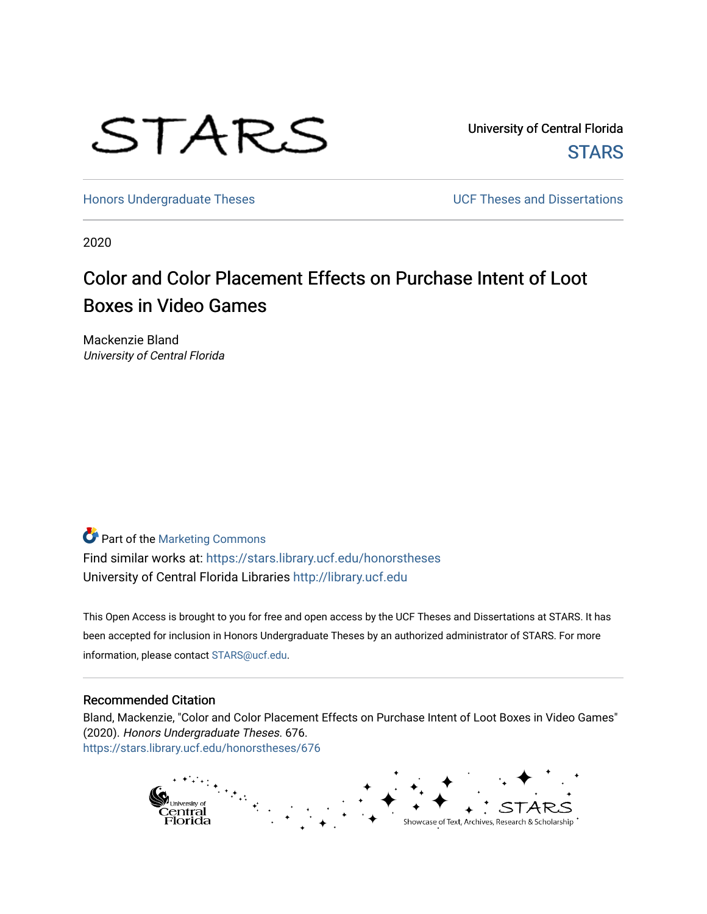

University of Central Florida **STARS** 

[Honors Undergraduate Theses](https://stars.library.ucf.edu/honorstheses) **Exercise 2 and Serverse** UCF Theses and Dissertations

2020

# Color and Color Placement Effects on Purchase Intent of Loot Boxes in Video Games

Mackenzie Bland University of Central Florida

Part of the [Marketing Commons](http://network.bepress.com/hgg/discipline/638?utm_source=stars.library.ucf.edu%2Fhonorstheses%2F676&utm_medium=PDF&utm_campaign=PDFCoverPages)

Find similar works at: <https://stars.library.ucf.edu/honorstheses> University of Central Florida Libraries [http://library.ucf.edu](http://library.ucf.edu/) 

This Open Access is brought to you for free and open access by the UCF Theses and Dissertations at STARS. It has been accepted for inclusion in Honors Undergraduate Theses by an authorized administrator of STARS. For more information, please contact [STARS@ucf.edu.](mailto:STARS@ucf.edu)

#### Recommended Citation

Bland, Mackenzie, "Color and Color Placement Effects on Purchase Intent of Loot Boxes in Video Games" (2020). Honors Undergraduate Theses. 676. [https://stars.library.ucf.edu/honorstheses/676](https://stars.library.ucf.edu/honorstheses/676?utm_source=stars.library.ucf.edu%2Fhonorstheses%2F676&utm_medium=PDF&utm_campaign=PDFCoverPages) 

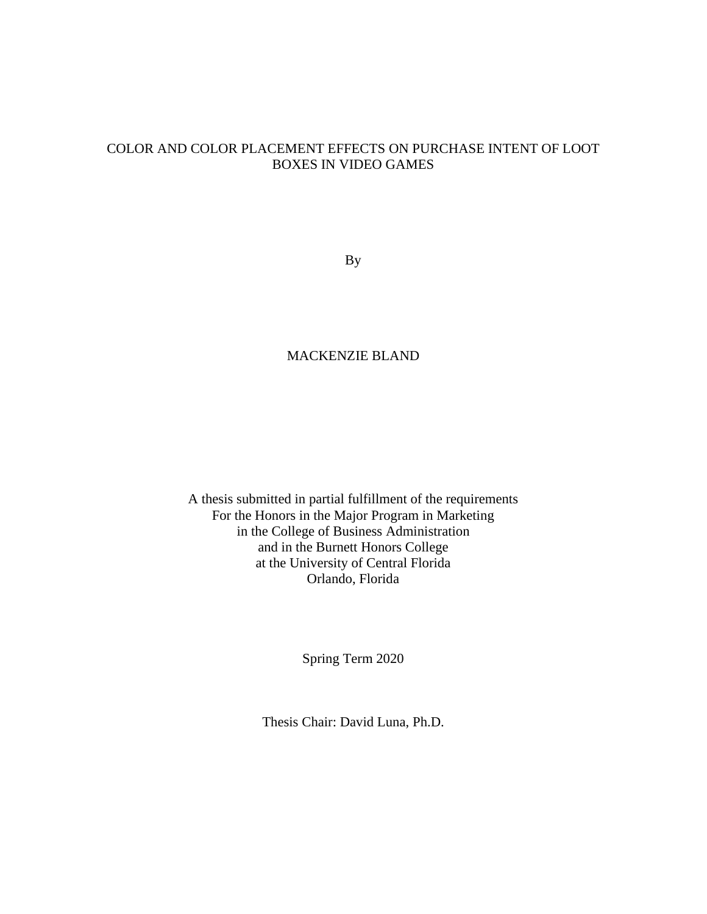## COLOR AND COLOR PLACEMENT EFFECTS ON PURCHASE INTENT OF LOOT BOXES IN VIDEO GAMES

By

### MACKENZIE BLAND

A thesis submitted in partial fulfillment of the requirements For the Honors in the Major Program in Marketing in the College of Business Administration and in the Burnett Honors College at the University of Central Florida Orlando, Florida

Spring Term 2020

Thesis Chair: David Luna, Ph.D.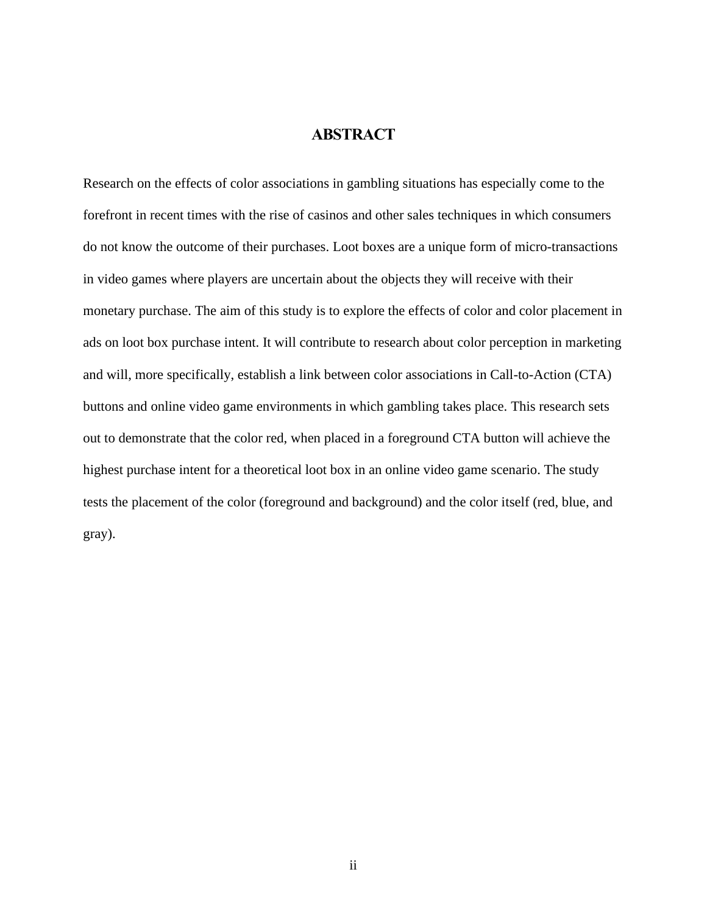## **ABSTRACT**

<span id="page-2-0"></span>Research on the effects of color associations in gambling situations has especially come to the forefront in recent times with the rise of casinos and other sales techniques in which consumers do not know the outcome of their purchases. Loot boxes are a unique form of micro-transactions in video games where players are uncertain about the objects they will receive with their monetary purchase. The aim of this study is to explore the effects of color and color placement in ads on loot box purchase intent. It will contribute to research about color perception in marketing and will, more specifically, establish a link between color associations in Call-to-Action (CTA) buttons and online video game environments in which gambling takes place. This research sets out to demonstrate that the color red, when placed in a foreground CTA button will achieve the highest purchase intent for a theoretical loot box in an online video game scenario. The study tests the placement of the color (foreground and background) and the color itself (red, blue, and gray).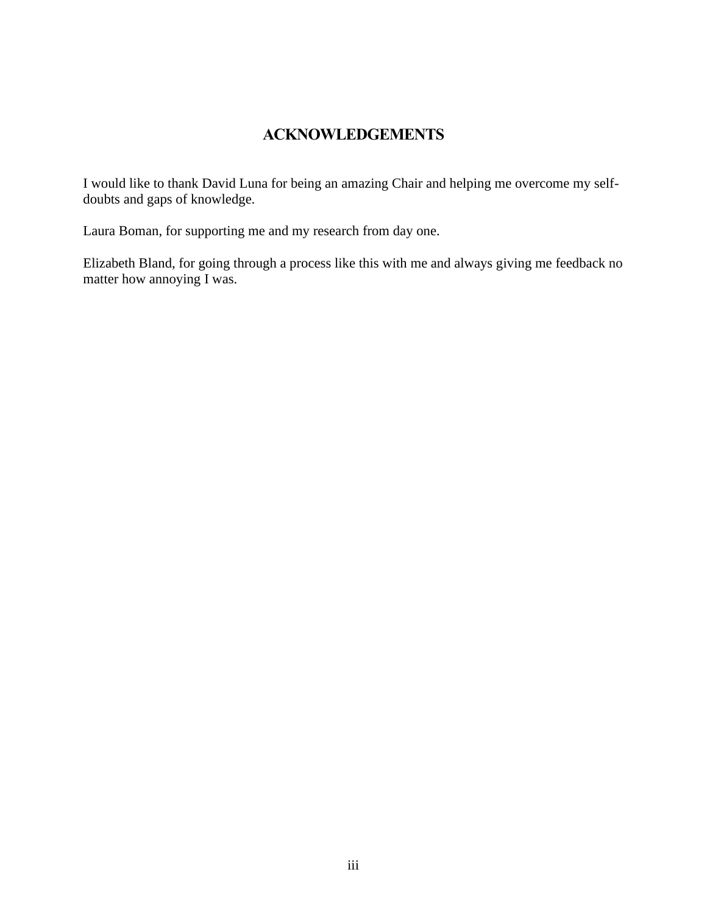# **ACKNOWLEDGEMENTS**

<span id="page-3-0"></span>I would like to thank David Luna for being an amazing Chair and helping me overcome my selfdoubts and gaps of knowledge.

Laura Boman, for supporting me and my research from day one.

Elizabeth Bland, for going through a process like this with me and always giving me feedback no matter how annoying I was.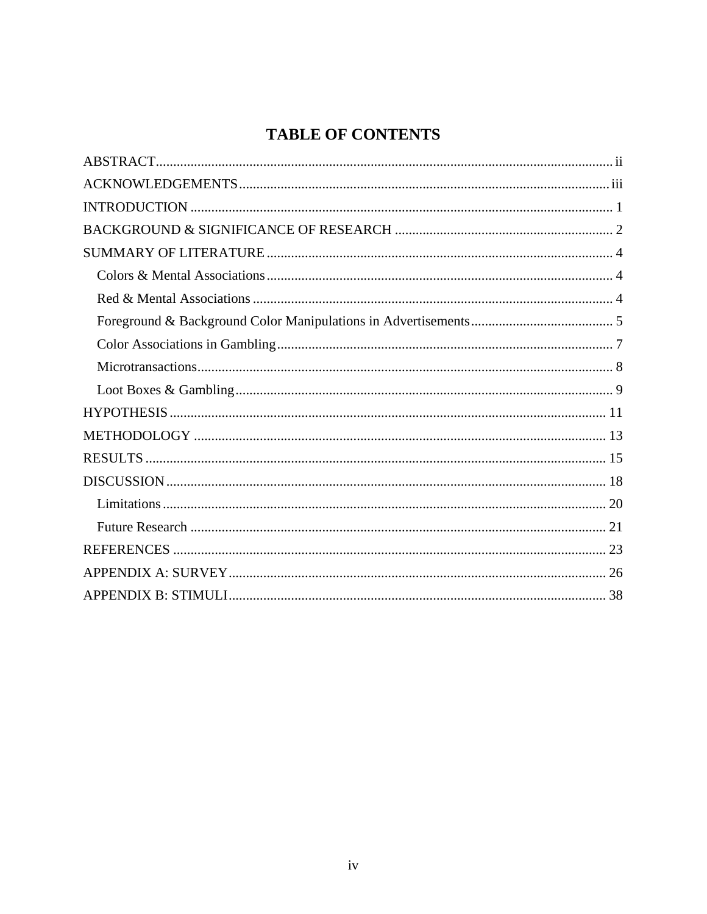# **TABLE OF CONTENTS**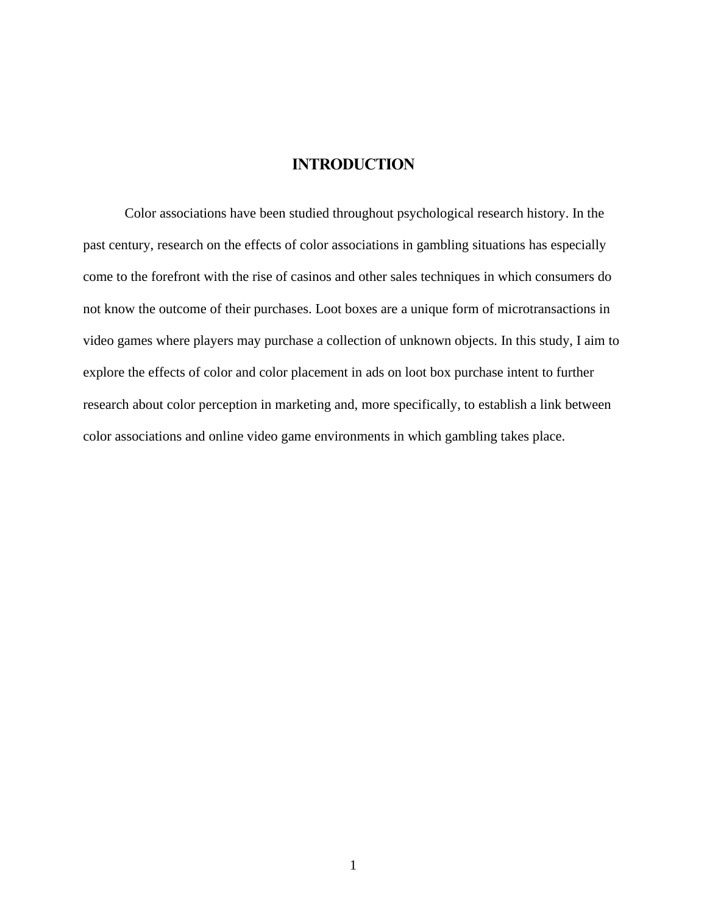### **INTRODUCTION**

<span id="page-5-0"></span>Color associations have been studied throughout psychological research history. In the past century, research on the effects of color associations in gambling situations has especially come to the forefront with the rise of casinos and other sales techniques in which consumers do not know the outcome of their purchases. Loot boxes are a unique form of microtransactions in video games where players may purchase a collection of unknown objects. In this study, I aim to explore the effects of color and color placement in ads on loot box purchase intent to further research about color perception in marketing and, more specifically, to establish a link between color associations and online video game environments in which gambling takes place.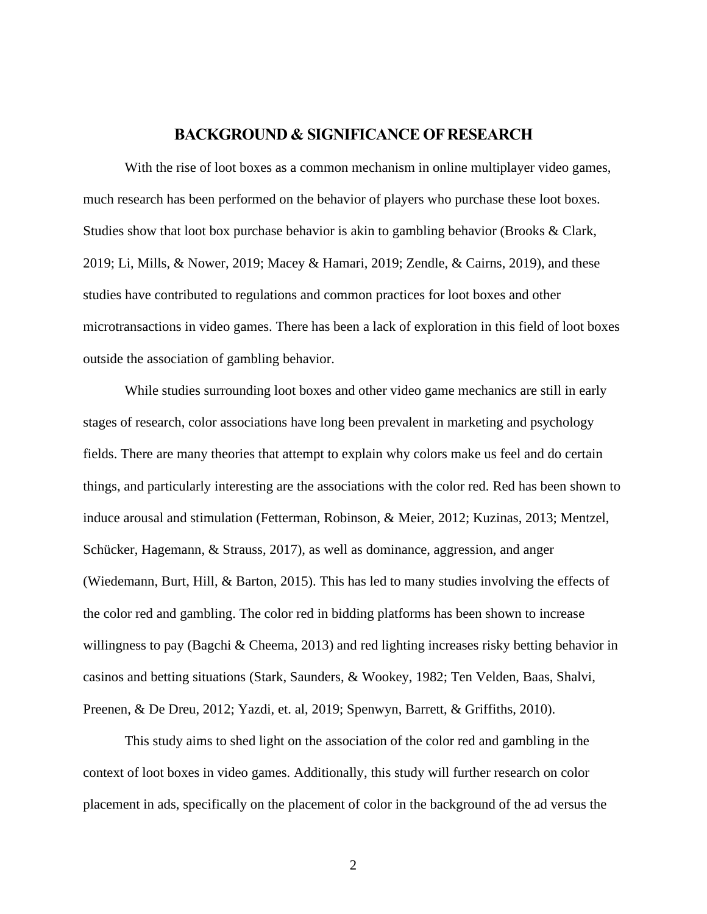### **BACKGROUND & SIGNIFICANCE OF RESEARCH**

<span id="page-6-0"></span>With the rise of loot boxes as a common mechanism in online multiplayer video games, much research has been performed on the behavior of players who purchase these loot boxes. Studies show that loot box purchase behavior is akin to gambling behavior (Brooks & Clark, 2019; Li, Mills, & Nower, 2019; Macey & Hamari, 2019; Zendle, & Cairns, 2019), and these studies have contributed to regulations and common practices for loot boxes and other microtransactions in video games. There has been a lack of exploration in this field of loot boxes outside the association of gambling behavior.

While studies surrounding loot boxes and other video game mechanics are still in early stages of research, color associations have long been prevalent in marketing and psychology fields. There are many theories that attempt to explain why colors make us feel and do certain things, and particularly interesting are the associations with the color red. Red has been shown to induce arousal and stimulation (Fetterman, Robinson, & Meier, 2012; Kuzinas, 2013; Mentzel, Schücker, Hagemann, & Strauss, 2017), as well as dominance, aggression, and anger (Wiedemann, Burt, Hill, & Barton, 2015). This has led to many studies involving the effects of the color red and gambling. The color red in bidding platforms has been shown to increase willingness to pay (Bagchi & Cheema, 2013) and red lighting increases risky betting behavior in casinos and betting situations (Stark, Saunders, & Wookey, 1982; Ten Velden, Baas, Shalvi, Preenen, & De Dreu, 2012; Yazdi, et. al, 2019; Spenwyn, Barrett, & Griffiths, 2010).

This study aims to shed light on the association of the color red and gambling in the context of loot boxes in video games. Additionally, this study will further research on color placement in ads, specifically on the placement of color in the background of the ad versus the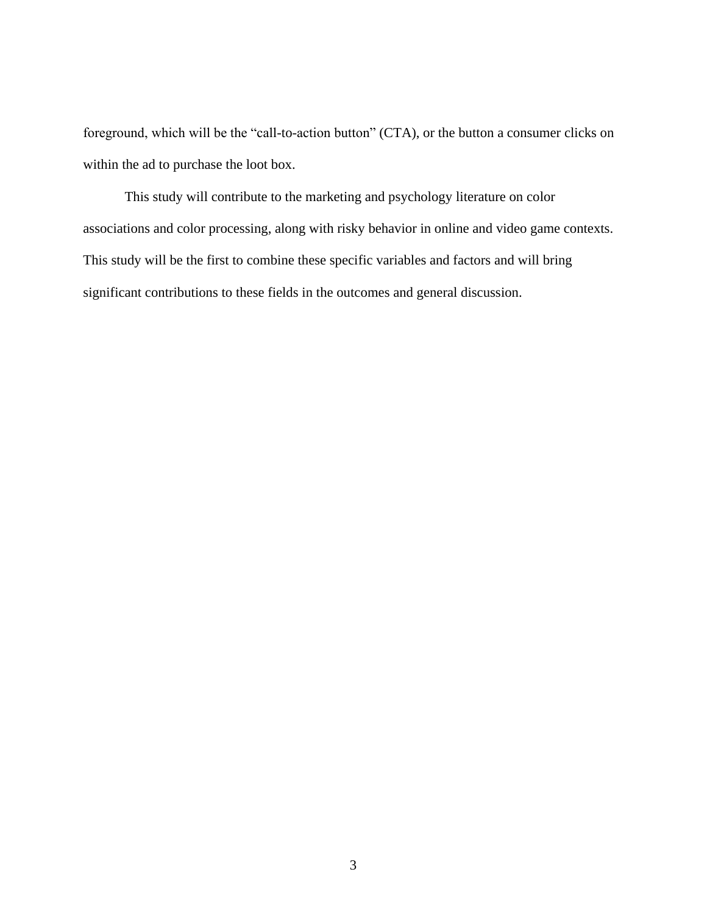foreground, which will be the "call-to-action button" (CTA), or the button a consumer clicks on within the ad to purchase the loot box.

This study will contribute to the marketing and psychology literature on color associations and color processing, along with risky behavior in online and video game contexts. This study will be the first to combine these specific variables and factors and will bring significant contributions to these fields in the outcomes and general discussion.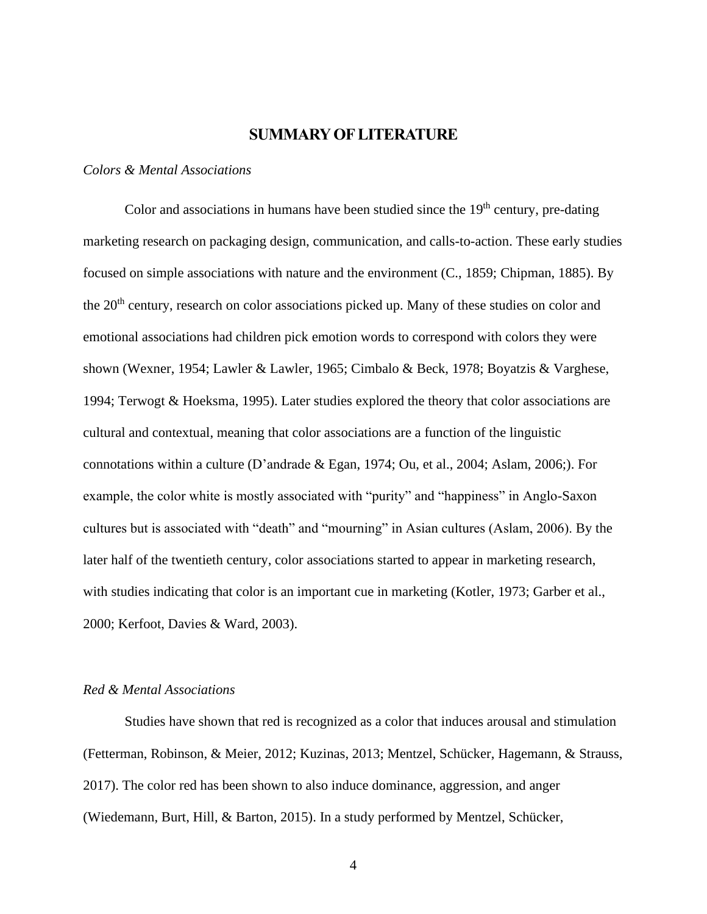## **SUMMARY OF LITERATURE**

#### <span id="page-8-1"></span><span id="page-8-0"></span>*Colors & Mental Associations*

Color and associations in humans have been studied since the  $19<sup>th</sup>$  century, pre-dating marketing research on packaging design, communication, and calls-to-action. These early studies focused on simple associations with nature and the environment (C., 1859; Chipman, 1885). By the 20<sup>th</sup> century, research on color associations picked up. Many of these studies on color and emotional associations had children pick emotion words to correspond with colors they were shown (Wexner, 1954; Lawler & Lawler, 1965; Cimbalo & Beck, 1978; Boyatzis & Varghese, 1994; Terwogt & Hoeksma, 1995). Later studies explored the theory that color associations are cultural and contextual, meaning that color associations are a function of the linguistic connotations within a culture (D'andrade & Egan, 1974; Ou, et al., 2004; Aslam, 2006;). For example, the color white is mostly associated with "purity" and "happiness" in Anglo-Saxon cultures but is associated with "death" and "mourning" in Asian cultures (Aslam, 2006). By the later half of the twentieth century, color associations started to appear in marketing research, with studies indicating that color is an important cue in marketing (Kotler, 1973; Garber et al., 2000; Kerfoot, Davies & Ward, 2003).

#### <span id="page-8-2"></span>*Red & Mental Associations*

Studies have shown that red is recognized as a color that induces arousal and stimulation (Fetterman, Robinson, & Meier, 2012; Kuzinas, 2013; Mentzel, Schücker, Hagemann, & Strauss, 2017). The color red has been shown to also induce dominance, aggression, and anger (Wiedemann, Burt, Hill, & Barton, 2015). In a study performed by Mentzel, Schücker,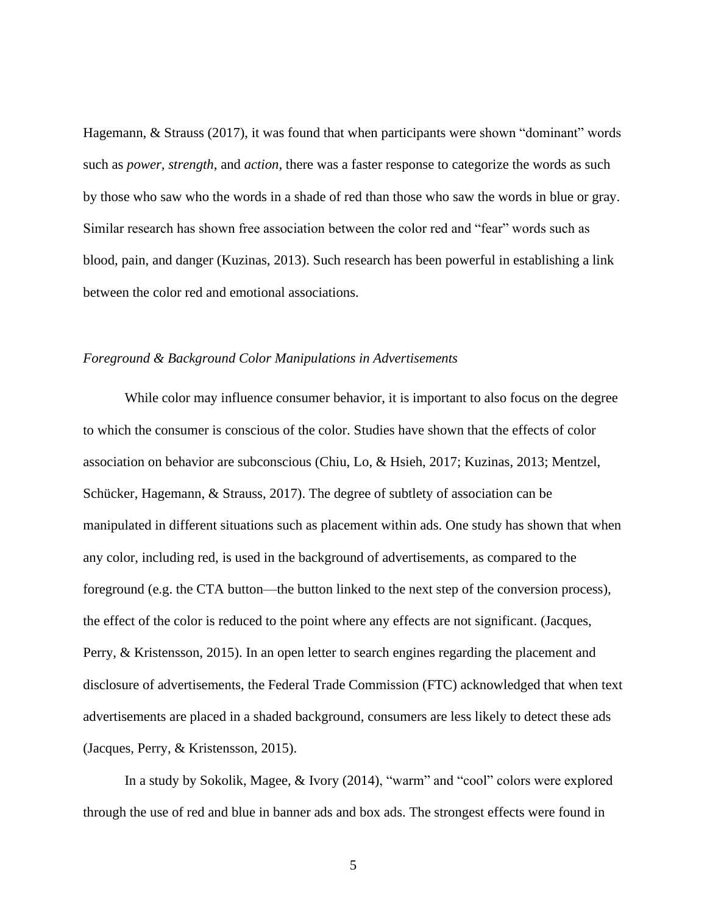Hagemann, & Strauss (2017), it was found that when participants were shown "dominant" words such as *power, strength*, and *action,* there was a faster response to categorize the words as such by those who saw who the words in a shade of red than those who saw the words in blue or gray. Similar research has shown free association between the color red and "fear" words such as blood, pain, and danger (Kuzinas, 2013). Such research has been powerful in establishing a link between the color red and emotional associations.

#### <span id="page-9-0"></span>*Foreground & Background Color Manipulations in Advertisements*

While color may influence consumer behavior, it is important to also focus on the degree to which the consumer is conscious of the color. Studies have shown that the effects of color association on behavior are subconscious (Chiu, Lo, & Hsieh, 2017; Kuzinas, 2013; Mentzel, Schücker, Hagemann, & Strauss, 2017). The degree of subtlety of association can be manipulated in different situations such as placement within ads. One study has shown that when any color, including red, is used in the background of advertisements, as compared to the foreground (e.g. the CTA button—the button linked to the next step of the conversion process), the effect of the color is reduced to the point where any effects are not significant. (Jacques, Perry, & Kristensson, 2015). In an open letter to search engines regarding the placement and disclosure of advertisements, the Federal Trade Commission (FTC) acknowledged that when text advertisements are placed in a shaded background, consumers are less likely to detect these ads (Jacques, Perry, & Kristensson, 2015).

In a study by Sokolik, Magee, & Ivory (2014), "warm" and "cool" colors were explored through the use of red and blue in banner ads and box ads. The strongest effects were found in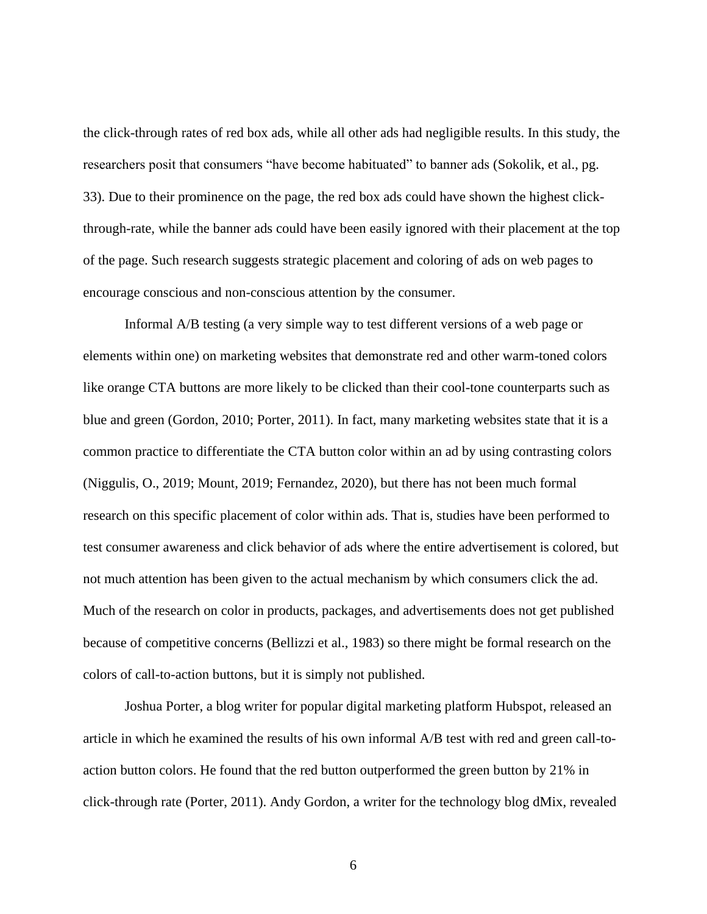the click-through rates of red box ads, while all other ads had negligible results. In this study, the researchers posit that consumers "have become habituated" to banner ads (Sokolik, et al., pg. 33). Due to their prominence on the page, the red box ads could have shown the highest clickthrough-rate, while the banner ads could have been easily ignored with their placement at the top of the page. Such research suggests strategic placement and coloring of ads on web pages to encourage conscious and non-conscious attention by the consumer.

Informal A/B testing (a very simple way to test different versions of a web page or elements within one) on marketing websites that demonstrate red and other warm-toned colors like orange CTA buttons are more likely to be clicked than their cool-tone counterparts such as blue and green (Gordon, 2010; Porter, 2011). In fact, many marketing websites state that it is a common practice to differentiate the CTA button color within an ad by using contrasting colors (Niggulis, O., 2019; Mount, 2019; Fernandez, 2020), but there has not been much formal research on this specific placement of color within ads. That is, studies have been performed to test consumer awareness and click behavior of ads where the entire advertisement is colored, but not much attention has been given to the actual mechanism by which consumers click the ad. Much of the research on color in products, packages, and advertisements does not get published because of competitive concerns (Bellizzi et al., 1983) so there might be formal research on the colors of call-to-action buttons, but it is simply not published.

Joshua Porter, a blog writer for popular digital marketing platform Hubspot, released an article in which he examined the results of his own informal A/B test with red and green call-toaction button colors. He found that the red button outperformed the green button by 21% in click-through rate (Porter, 2011). Andy Gordon, a writer for the technology blog dMix, revealed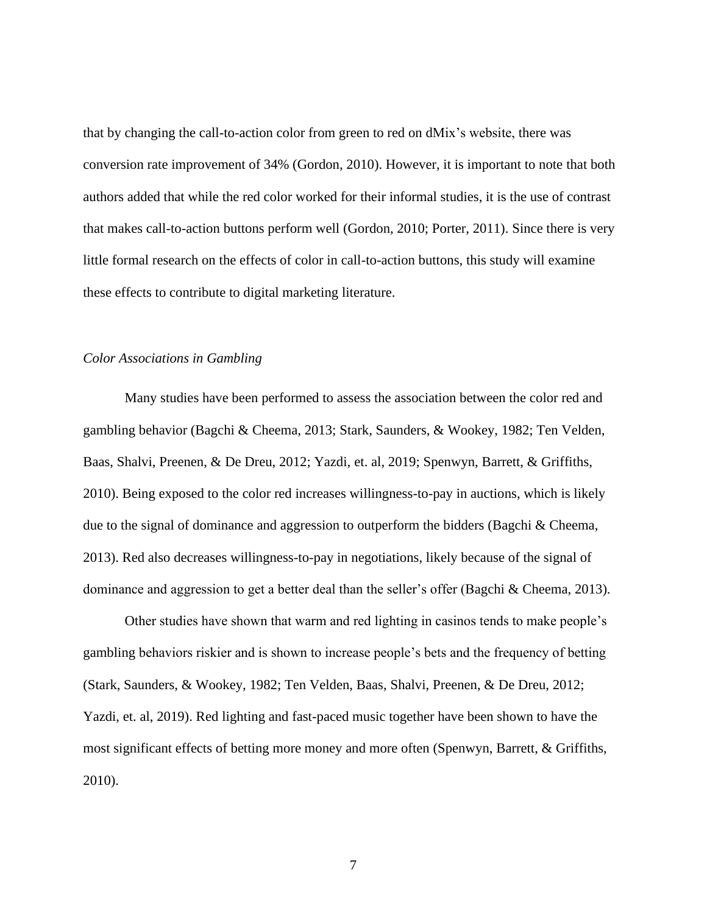that by changing the call-to-action color from green to red on dMix's website, there was conversion rate improvement of 34% (Gordon, 2010). However, it is important to note that both authors added that while the red color worked for their informal studies, it is the use of contrast that makes call-to-action buttons perform well (Gordon, 2010; Porter, 2011). Since there is very little formal research on the effects of color in call-to-action buttons, this study will examine these effects to contribute to digital marketing literature.

#### <span id="page-11-0"></span>*Color Associations in Gambling*

Many studies have been performed to assess the association between the color red and gambling behavior (Bagchi & Cheema, 2013; Stark, Saunders, & Wookey, 1982; Ten Velden, Baas, Shalvi, Preenen, & De Dreu, 2012; Yazdi, et. al, 2019; Spenwyn, Barrett, & Griffiths, 2010). Being exposed to the color red increases willingness-to-pay in auctions, which is likely due to the signal of dominance and aggression to outperform the bidders (Bagchi & Cheema, 2013). Red also decreases willingness-to-pay in negotiations, likely because of the signal of dominance and aggression to get a better deal than the seller's offer (Bagchi & Cheema, 2013).

Other studies have shown that warm and red lighting in casinos tends to make people's gambling behaviors riskier and is shown to increase people's bets and the frequency of betting (Stark, Saunders, & Wookey, 1982; Ten Velden, Baas, Shalvi, Preenen, & De Dreu, 2012; Yazdi, et. al, 2019). Red lighting and fast-paced music together have been shown to have the most significant effects of betting more money and more often (Spenwyn, Barrett, & Griffiths, 2010).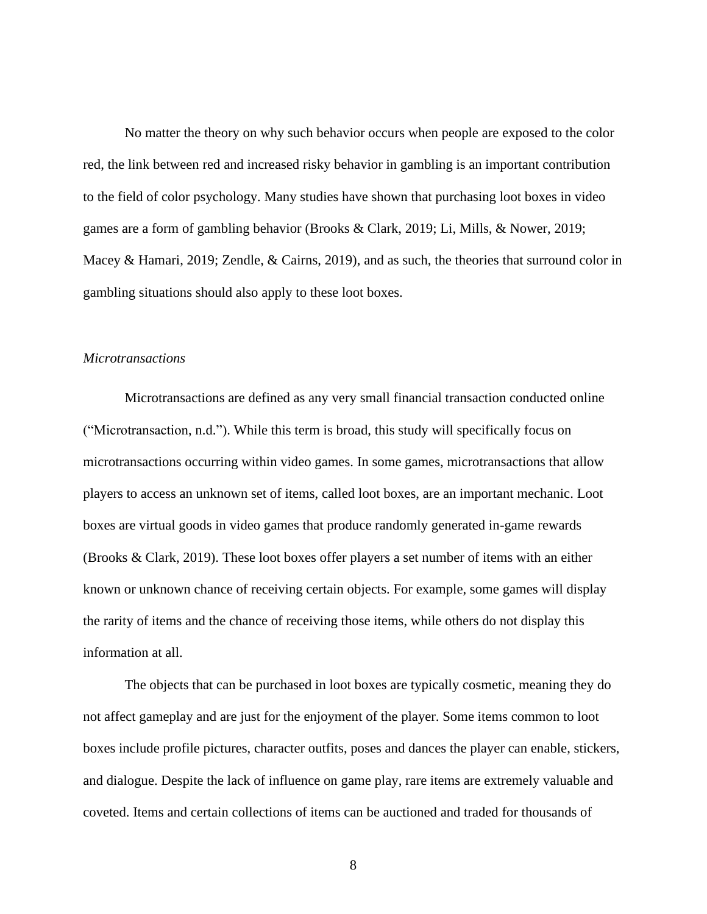No matter the theory on why such behavior occurs when people are exposed to the color red, the link between red and increased risky behavior in gambling is an important contribution to the field of color psychology. Many studies have shown that purchasing loot boxes in video games are a form of gambling behavior (Brooks & Clark, 2019; Li, Mills, & Nower, 2019; Macey & Hamari, 2019; Zendle, & Cairns, 2019), and as such, the theories that surround color in gambling situations should also apply to these loot boxes.

#### <span id="page-12-0"></span>*Microtransactions*

Microtransactions are defined as any very small financial transaction conducted online ("Microtransaction, n.d."). While this term is broad, this study will specifically focus on microtransactions occurring within video games. In some games, microtransactions that allow players to access an unknown set of items, called loot boxes, are an important mechanic. Loot boxes are virtual goods in video games that produce randomly generated in-game rewards (Brooks & Clark, 2019). These loot boxes offer players a set number of items with an either known or unknown chance of receiving certain objects. For example, some games will display the rarity of items and the chance of receiving those items, while others do not display this information at all.

The objects that can be purchased in loot boxes are typically cosmetic, meaning they do not affect gameplay and are just for the enjoyment of the player. Some items common to loot boxes include profile pictures, character outfits, poses and dances the player can enable, stickers, and dialogue. Despite the lack of influence on game play, rare items are extremely valuable and coveted. Items and certain collections of items can be auctioned and traded for thousands of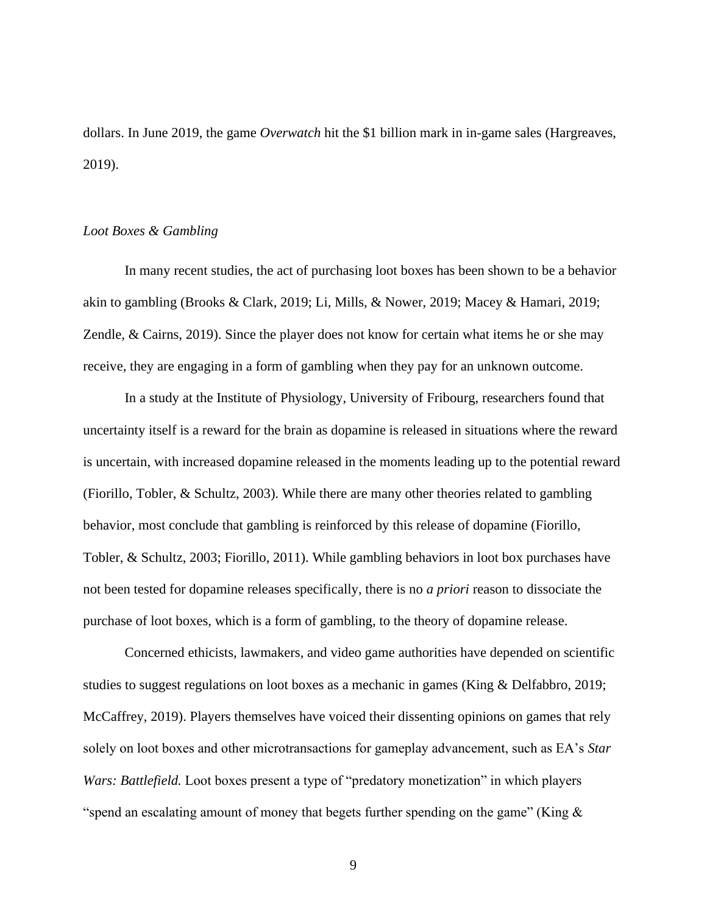dollars. In June 2019, the game *Overwatch* hit the \$1 billion mark in in-game sales (Hargreaves, 2019).

#### <span id="page-13-0"></span>*Loot Boxes & Gambling*

In many recent studies, the act of purchasing loot boxes has been shown to be a behavior akin to gambling (Brooks & Clark, 2019; Li, Mills, & Nower, 2019; Macey & Hamari, 2019; Zendle, & Cairns, 2019). Since the player does not know for certain what items he or she may receive, they are engaging in a form of gambling when they pay for an unknown outcome.

In a study at the Institute of Physiology, University of Fribourg, researchers found that uncertainty itself is a reward for the brain as dopamine is released in situations where the reward is uncertain, with increased dopamine released in the moments leading up to the potential reward (Fiorillo, Tobler, & Schultz, 2003). While there are many other theories related to gambling behavior, most conclude that gambling is reinforced by this release of dopamine (Fiorillo, Tobler, & Schultz, 2003; Fiorillo, 2011). While gambling behaviors in loot box purchases have not been tested for dopamine releases specifically, there is no *a priori* reason to dissociate the purchase of loot boxes, which is a form of gambling, to the theory of dopamine release.

Concerned ethicists, lawmakers, and video game authorities have depended on scientific studies to suggest regulations on loot boxes as a mechanic in games (King & Delfabbro, 2019; McCaffrey, 2019). Players themselves have voiced their dissenting opinions on games that rely solely on loot boxes and other microtransactions for gameplay advancement, such as EA's *Star Wars: Battlefield.* Loot boxes present a type of "predatory monetization" in which players "spend an escalating amount of money that begets further spending on the game" (King  $\&$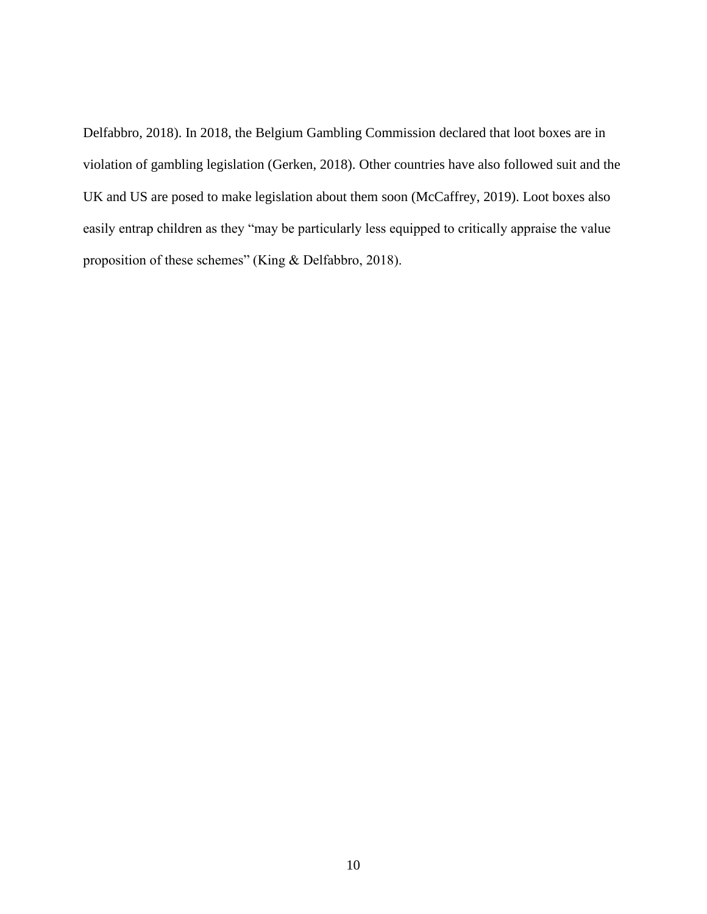Delfabbro, 2018). In 2018, the Belgium Gambling Commission declared that loot boxes are in violation of gambling legislation (Gerken, 2018). Other countries have also followed suit and the UK and US are posed to make legislation about them soon (McCaffrey, 2019). Loot boxes also easily entrap children as they "may be particularly less equipped to critically appraise the value proposition of these schemes" (King & Delfabbro, 2018).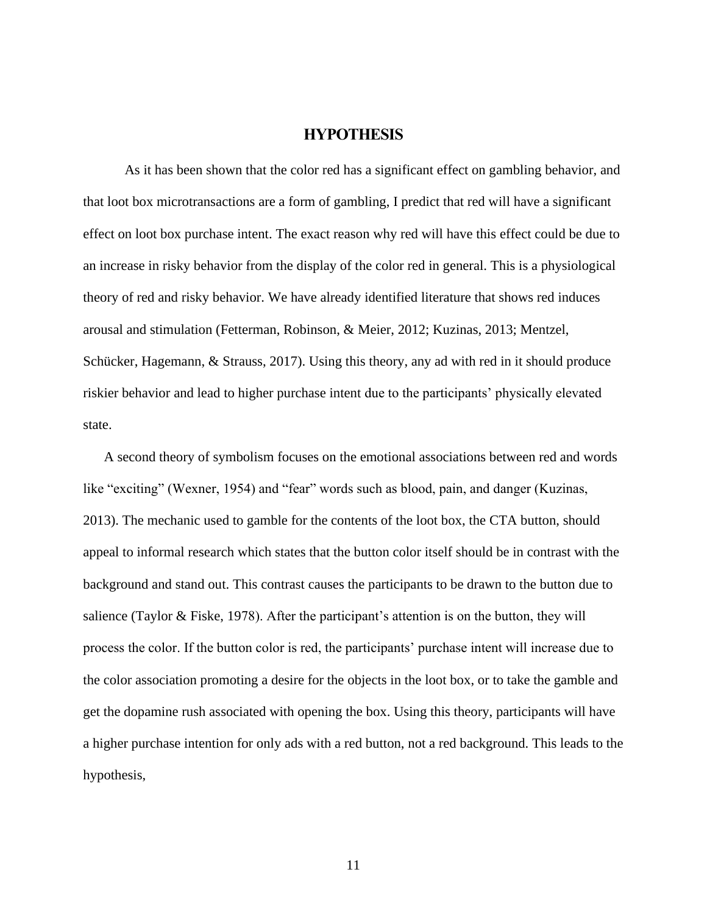### **HYPOTHESIS**

<span id="page-15-0"></span>As it has been shown that the color red has a significant effect on gambling behavior, and that loot box microtransactions are a form of gambling, I predict that red will have a significant effect on loot box purchase intent. The exact reason why red will have this effect could be due to an increase in risky behavior from the display of the color red in general. This is a physiological theory of red and risky behavior. We have already identified literature that shows red induces arousal and stimulation (Fetterman, Robinson, & Meier, 2012; Kuzinas, 2013; Mentzel, Schücker, Hagemann, & Strauss, 2017). Using this theory, any ad with red in it should produce riskier behavior and lead to higher purchase intent due to the participants' physically elevated state.

A second theory of symbolism focuses on the emotional associations between red and words like "exciting" (Wexner, 1954) and "fear" words such as blood, pain, and danger (Kuzinas, 2013). The mechanic used to gamble for the contents of the loot box, the CTA button, should appeal to informal research which states that the button color itself should be in contrast with the background and stand out. This contrast causes the participants to be drawn to the button due to salience (Taylor & Fiske, 1978). After the participant's attention is on the button, they will process the color. If the button color is red, the participants' purchase intent will increase due to the color association promoting a desire for the objects in the loot box, or to take the gamble and get the dopamine rush associated with opening the box. Using this theory, participants will have a higher purchase intention for only ads with a red button, not a red background. This leads to the hypothesis,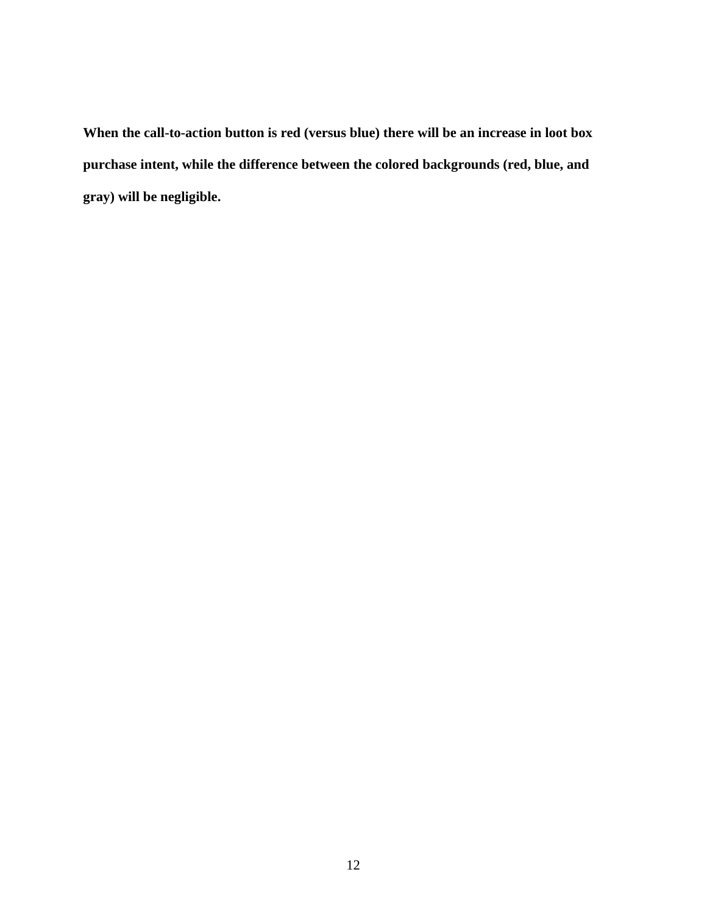**When the call-to-action button is red (versus blue) there will be an increase in loot box purchase intent, while the difference between the colored backgrounds (red, blue, and gray) will be negligible.**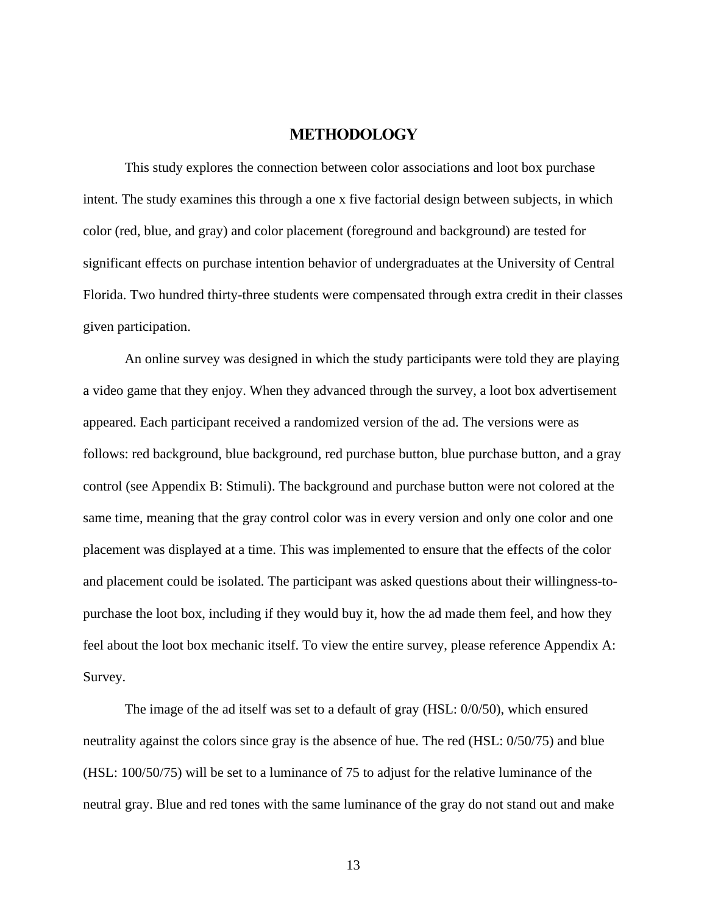### **METHODOLOGY**

<span id="page-17-0"></span>This study explores the connection between color associations and loot box purchase intent. The study examines this through a one x five factorial design between subjects, in which color (red, blue, and gray) and color placement (foreground and background) are tested for significant effects on purchase intention behavior of undergraduates at the University of Central Florida. Two hundred thirty-three students were compensated through extra credit in their classes given participation.

An online survey was designed in which the study participants were told they are playing a video game that they enjoy. When they advanced through the survey, a loot box advertisement appeared. Each participant received a randomized version of the ad. The versions were as follows: red background, blue background, red purchase button, blue purchase button, and a gray control (see Appendix B: Stimuli). The background and purchase button were not colored at the same time, meaning that the gray control color was in every version and only one color and one placement was displayed at a time. This was implemented to ensure that the effects of the color and placement could be isolated. The participant was asked questions about their willingness-topurchase the loot box, including if they would buy it, how the ad made them feel, and how they feel about the loot box mechanic itself. To view the entire survey, please reference Appendix A: Survey.

The image of the ad itself was set to a default of gray (HSL: 0/0/50), which ensured neutrality against the colors since gray is the absence of hue. The red (HSL: 0/50/75) and blue (HSL: 100/50/75) will be set to a luminance of 75 to adjust for the relative luminance of the neutral gray. Blue and red tones with the same luminance of the gray do not stand out and make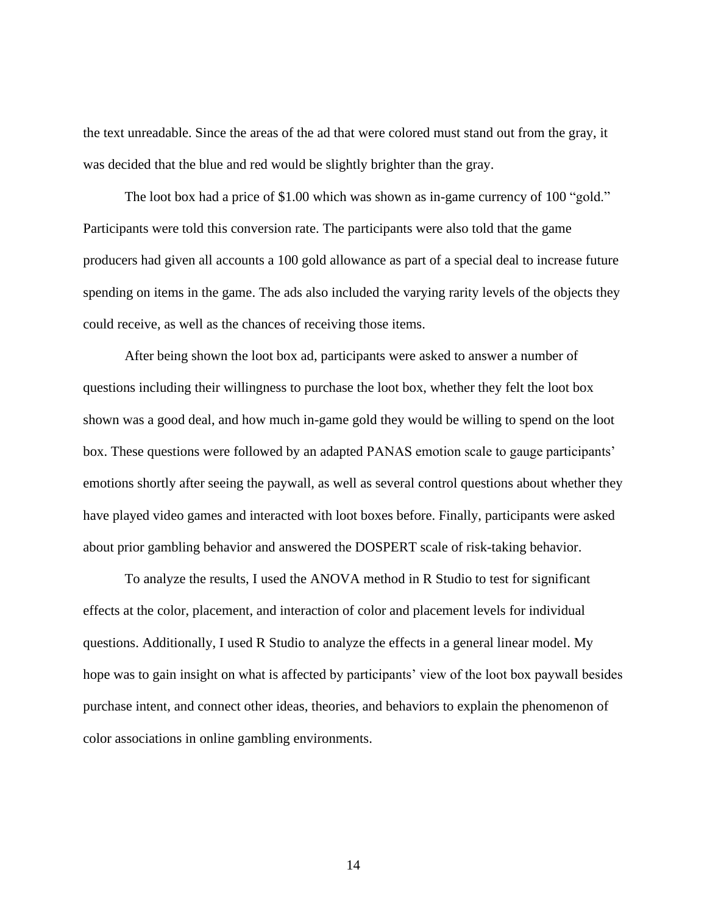the text unreadable. Since the areas of the ad that were colored must stand out from the gray, it was decided that the blue and red would be slightly brighter than the gray.

The loot box had a price of \$1.00 which was shown as in-game currency of 100 "gold." Participants were told this conversion rate. The participants were also told that the game producers had given all accounts a 100 gold allowance as part of a special deal to increase future spending on items in the game. The ads also included the varying rarity levels of the objects they could receive, as well as the chances of receiving those items.

After being shown the loot box ad, participants were asked to answer a number of questions including their willingness to purchase the loot box, whether they felt the loot box shown was a good deal, and how much in-game gold they would be willing to spend on the loot box. These questions were followed by an adapted PANAS emotion scale to gauge participants' emotions shortly after seeing the paywall, as well as several control questions about whether they have played video games and interacted with loot boxes before. Finally, participants were asked about prior gambling behavior and answered the DOSPERT scale of risk-taking behavior.

To analyze the results, I used the ANOVA method in R Studio to test for significant effects at the color, placement, and interaction of color and placement levels for individual questions. Additionally, I used R Studio to analyze the effects in a general linear model. My hope was to gain insight on what is affected by participants' view of the loot box paywall besides purchase intent, and connect other ideas, theories, and behaviors to explain the phenomenon of color associations in online gambling environments.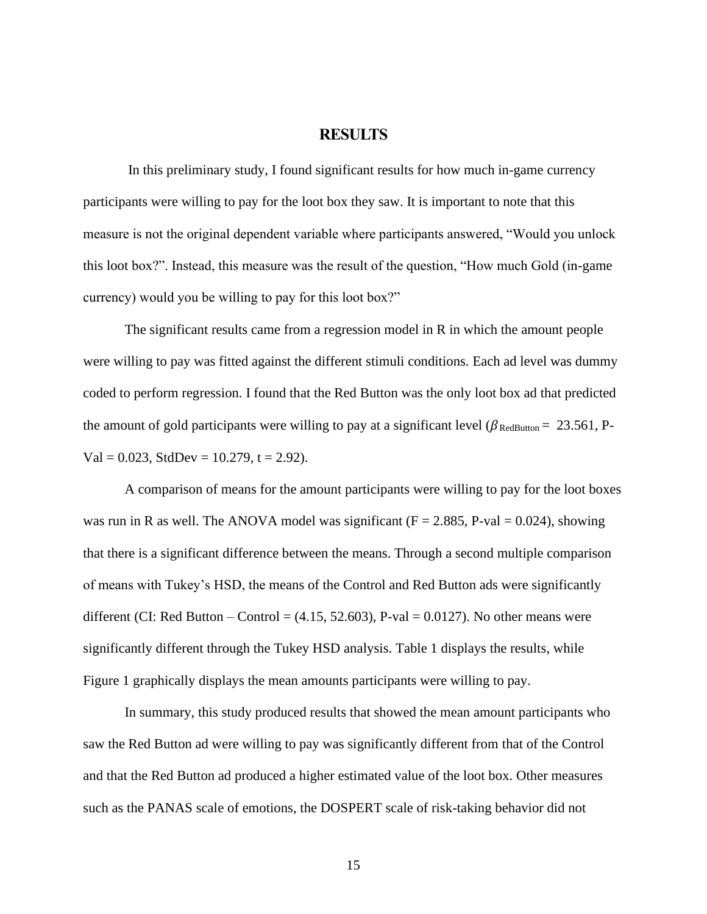#### **RESULTS**

<span id="page-19-0"></span>In this preliminary study, I found significant results for how much in-game currency participants were willing to pay for the loot box they saw. It is important to note that this measure is not the original dependent variable where participants answered, "Would you unlock this loot box?". Instead, this measure was the result of the question, "How much Gold (in-game currency) would you be willing to pay for this loot box?"

The significant results came from a regression model in R in which the amount people were willing to pay was fitted against the different stimuli conditions. Each ad level was dummy coded to perform regression. I found that the Red Button was the only loot box ad that predicted the amount of gold participants were willing to pay at a significant level ( $\beta_{\text{RedButton}} = 23.561$ , P- $Val = 0.023$ , StdDev = 10.279, t = 2.92).

A comparison of means for the amount participants were willing to pay for the loot boxes was run in R as well. The ANOVA model was significant ( $F = 2.885$ , P-val = 0.024), showing that there is a significant difference between the means. Through a second multiple comparison of means with Tukey's HSD, the means of the Control and Red Button ads were significantly different (CI: Red Button – Control =  $(4.15, 52.603)$ , P-val = 0.0127). No other means were significantly different through the Tukey HSD analysis. Table 1 displays the results, while Figure 1 graphically displays the mean amounts participants were willing to pay.

In summary, this study produced results that showed the mean amount participants who saw the Red Button ad were willing to pay was significantly different from that of the Control and that the Red Button ad produced a higher estimated value of the loot box. Other measures such as the PANAS scale of emotions, the DOSPERT scale of risk-taking behavior did not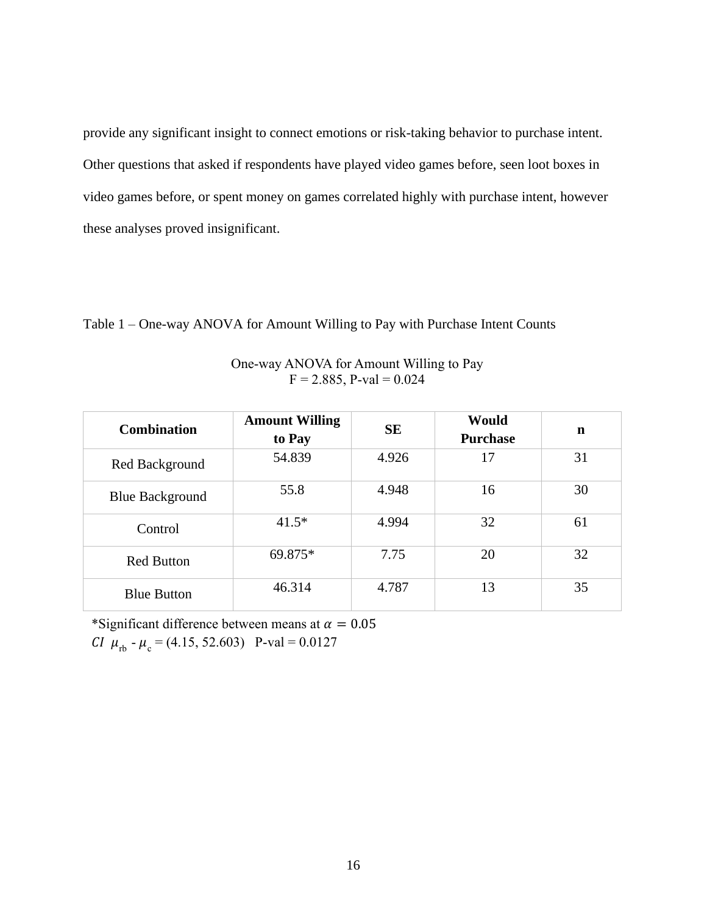provide any significant insight to connect emotions or risk-taking behavior to purchase intent. Other questions that asked if respondents have played video games before, seen loot boxes in video games before, or spent money on games correlated highly with purchase intent, however these analyses proved insignificant.

Table 1 – One-way ANOVA for Amount Willing to Pay with Purchase Intent Counts

| One-way ANOVA for Amount Willing to Pay |  |
|-----------------------------------------|--|
| $F = 2.885$ , P-val = 0.024             |  |

| <b>Combination</b>     | <b>Amount Willing</b><br>to Pay | <b>SE</b> | Would<br><b>Purchase</b> | n  |
|------------------------|---------------------------------|-----------|--------------------------|----|
| Red Background         | 54.839                          | 4.926     | 17                       | 31 |
| <b>Blue Background</b> | 55.8                            | 4.948     | 16                       | 30 |
| Control                | $41.5*$                         | 4.994     | 32                       | 61 |
| <b>Red Button</b>      | 69.875*                         | 7.75      | 20                       | 32 |
| <b>Blue Button</b>     | 46.314                          | 4.787     | 13                       | 35 |

\*Significant difference between means at  $\alpha = 0.05$ 

*CI*  $\mu_{\text{rb}}$  -  $\mu_{\text{c}}$  = (4.15, 52.603) P-val = 0.0127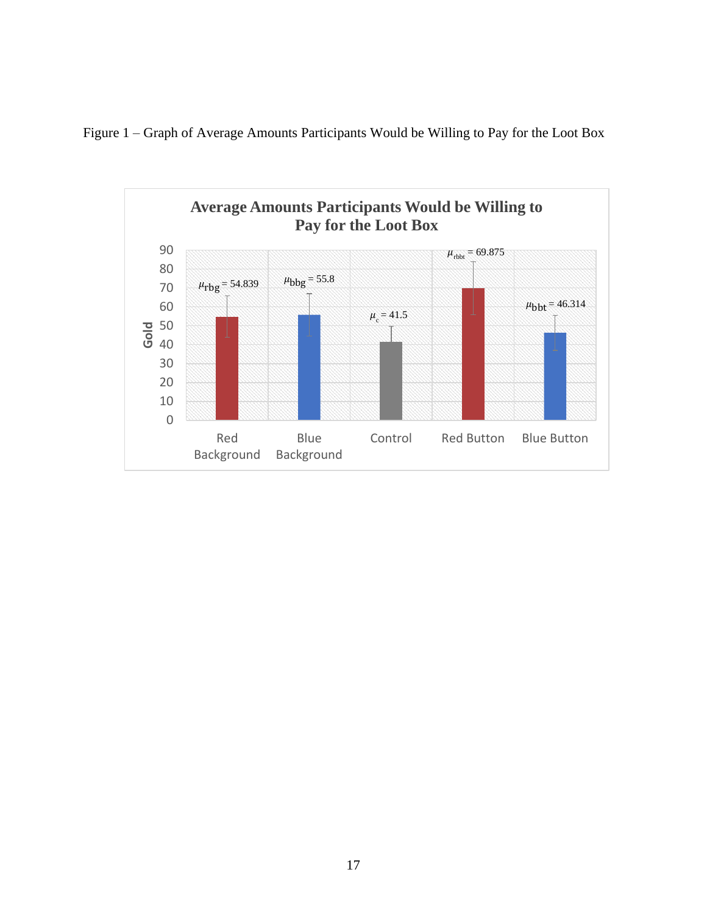

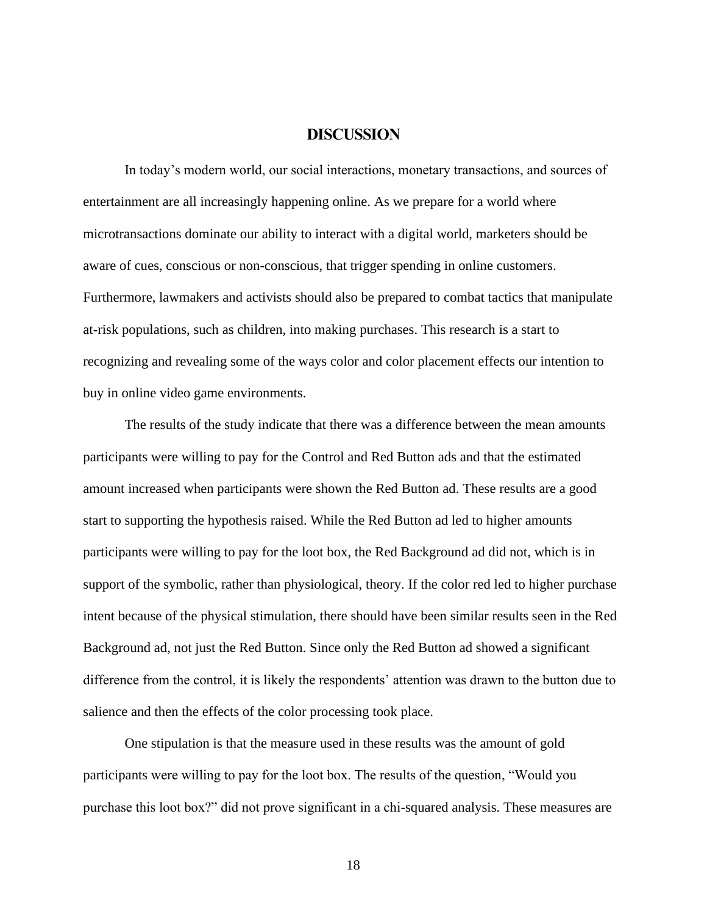### **DISCUSSION**

<span id="page-22-0"></span>In today's modern world, our social interactions, monetary transactions, and sources of entertainment are all increasingly happening online. As we prepare for a world where microtransactions dominate our ability to interact with a digital world, marketers should be aware of cues, conscious or non-conscious, that trigger spending in online customers. Furthermore, lawmakers and activists should also be prepared to combat tactics that manipulate at-risk populations, such as children, into making purchases. This research is a start to recognizing and revealing some of the ways color and color placement effects our intention to buy in online video game environments.

The results of the study indicate that there was a difference between the mean amounts participants were willing to pay for the Control and Red Button ads and that the estimated amount increased when participants were shown the Red Button ad. These results are a good start to supporting the hypothesis raised. While the Red Button ad led to higher amounts participants were willing to pay for the loot box, the Red Background ad did not, which is in support of the symbolic, rather than physiological, theory. If the color red led to higher purchase intent because of the physical stimulation, there should have been similar results seen in the Red Background ad, not just the Red Button. Since only the Red Button ad showed a significant difference from the control, it is likely the respondents' attention was drawn to the button due to salience and then the effects of the color processing took place.

One stipulation is that the measure used in these results was the amount of gold participants were willing to pay for the loot box. The results of the question, "Would you purchase this loot box?" did not prove significant in a chi-squared analysis. These measures are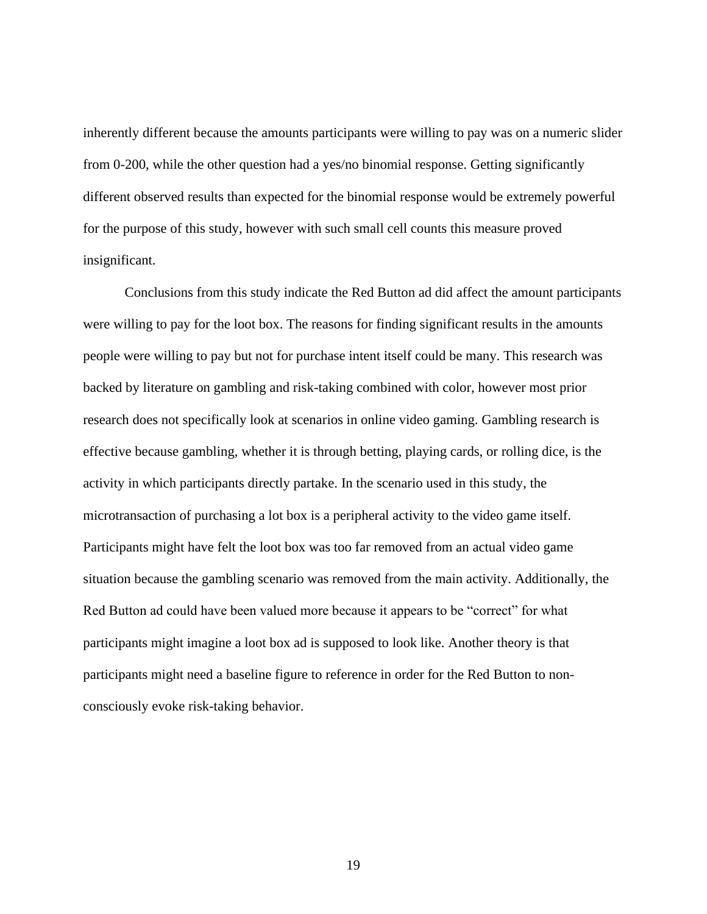inherently different because the amounts participants were willing to pay was on a numeric slider from 0-200, while the other question had a yes/no binomial response. Getting significantly different observed results than expected for the binomial response would be extremely powerful for the purpose of this study, however with such small cell counts this measure proved insignificant.

Conclusions from this study indicate the Red Button ad did affect the amount participants were willing to pay for the loot box. The reasons for finding significant results in the amounts people were willing to pay but not for purchase intent itself could be many. This research was backed by literature on gambling and risk-taking combined with color, however most prior research does not specifically look at scenarios in online video gaming. Gambling research is effective because gambling, whether it is through betting, playing cards, or rolling dice, is the activity in which participants directly partake. In the scenario used in this study, the microtransaction of purchasing a lot box is a peripheral activity to the video game itself. Participants might have felt the loot box was too far removed from an actual video game situation because the gambling scenario was removed from the main activity. Additionally, the Red Button ad could have been valued more because it appears to be "correct" for what participants might imagine a loot box ad is supposed to look like. Another theory is that participants might need a baseline figure to reference in order for the Red Button to nonconsciously evoke risk-taking behavior.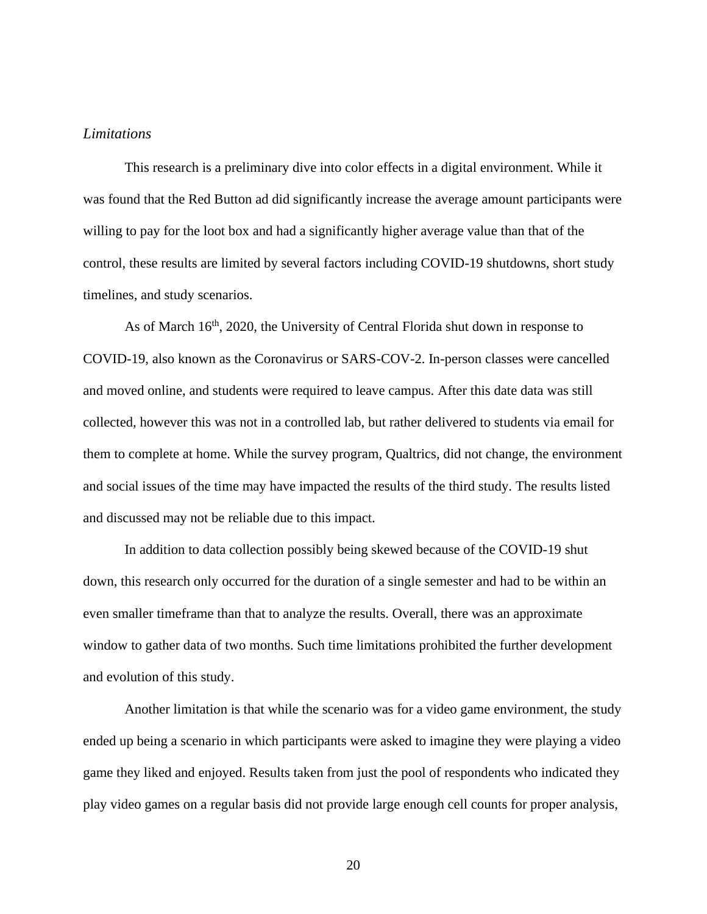#### <span id="page-24-0"></span>*Limitations*

This research is a preliminary dive into color effects in a digital environment. While it was found that the Red Button ad did significantly increase the average amount participants were willing to pay for the loot box and had a significantly higher average value than that of the control, these results are limited by several factors including COVID-19 shutdowns, short study timelines, and study scenarios.

As of March  $16<sup>th</sup>$ , 2020, the University of Central Florida shut down in response to COVID-19, also known as the Coronavirus or SARS-COV-2. In-person classes were cancelled and moved online, and students were required to leave campus. After this date data was still collected, however this was not in a controlled lab, but rather delivered to students via email for them to complete at home. While the survey program, Qualtrics, did not change, the environment and social issues of the time may have impacted the results of the third study. The results listed and discussed may not be reliable due to this impact.

In addition to data collection possibly being skewed because of the COVID-19 shut down, this research only occurred for the duration of a single semester and had to be within an even smaller timeframe than that to analyze the results. Overall, there was an approximate window to gather data of two months. Such time limitations prohibited the further development and evolution of this study.

Another limitation is that while the scenario was for a video game environment, the study ended up being a scenario in which participants were asked to imagine they were playing a video game they liked and enjoyed. Results taken from just the pool of respondents who indicated they play video games on a regular basis did not provide large enough cell counts for proper analysis,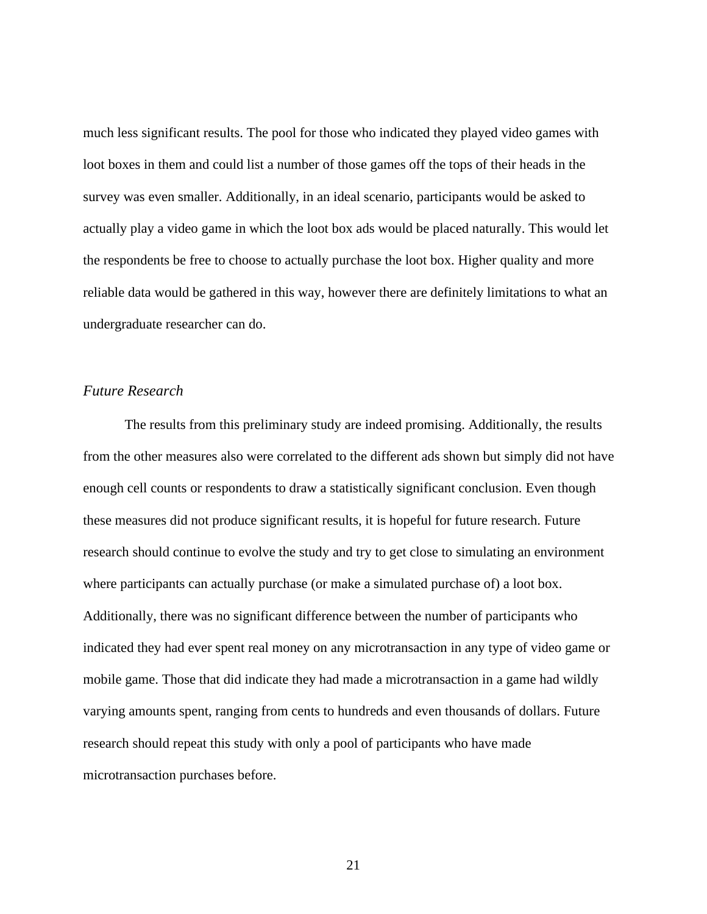much less significant results. The pool for those who indicated they played video games with loot boxes in them and could list a number of those games off the tops of their heads in the survey was even smaller. Additionally, in an ideal scenario, participants would be asked to actually play a video game in which the loot box ads would be placed naturally. This would let the respondents be free to choose to actually purchase the loot box. Higher quality and more reliable data would be gathered in this way, however there are definitely limitations to what an undergraduate researcher can do.

#### <span id="page-25-0"></span>*Future Research*

The results from this preliminary study are indeed promising. Additionally, the results from the other measures also were correlated to the different ads shown but simply did not have enough cell counts or respondents to draw a statistically significant conclusion. Even though these measures did not produce significant results, it is hopeful for future research. Future research should continue to evolve the study and try to get close to simulating an environment where participants can actually purchase (or make a simulated purchase of) a loot box. Additionally, there was no significant difference between the number of participants who indicated they had ever spent real money on any microtransaction in any type of video game or mobile game. Those that did indicate they had made a microtransaction in a game had wildly varying amounts spent, ranging from cents to hundreds and even thousands of dollars. Future research should repeat this study with only a pool of participants who have made microtransaction purchases before.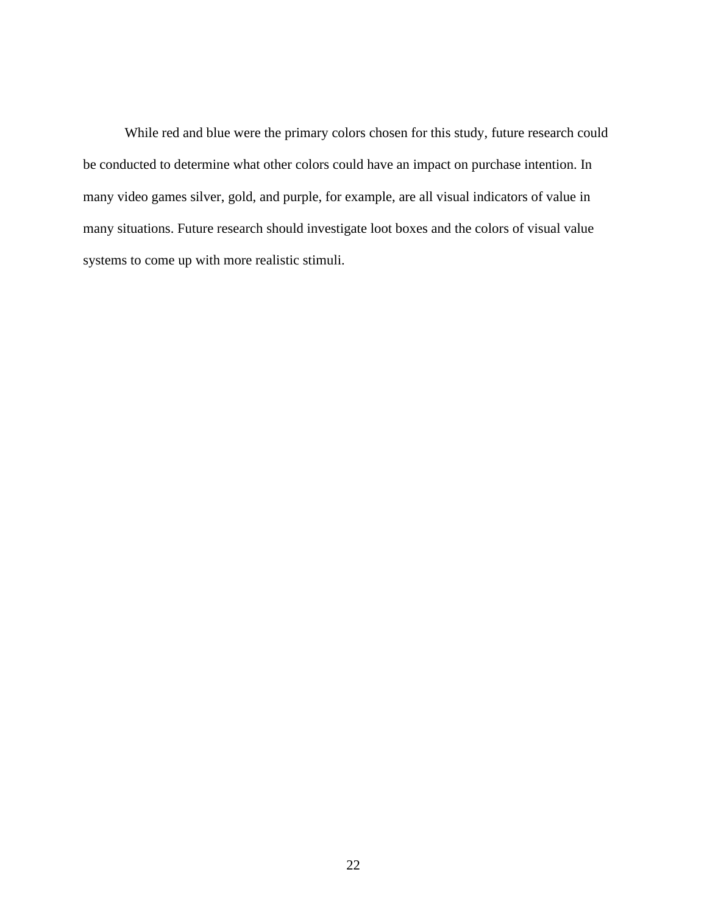While red and blue were the primary colors chosen for this study, future research could be conducted to determine what other colors could have an impact on purchase intention. In many video games silver, gold, and purple, for example, are all visual indicators of value in many situations. Future research should investigate loot boxes and the colors of visual value systems to come up with more realistic stimuli.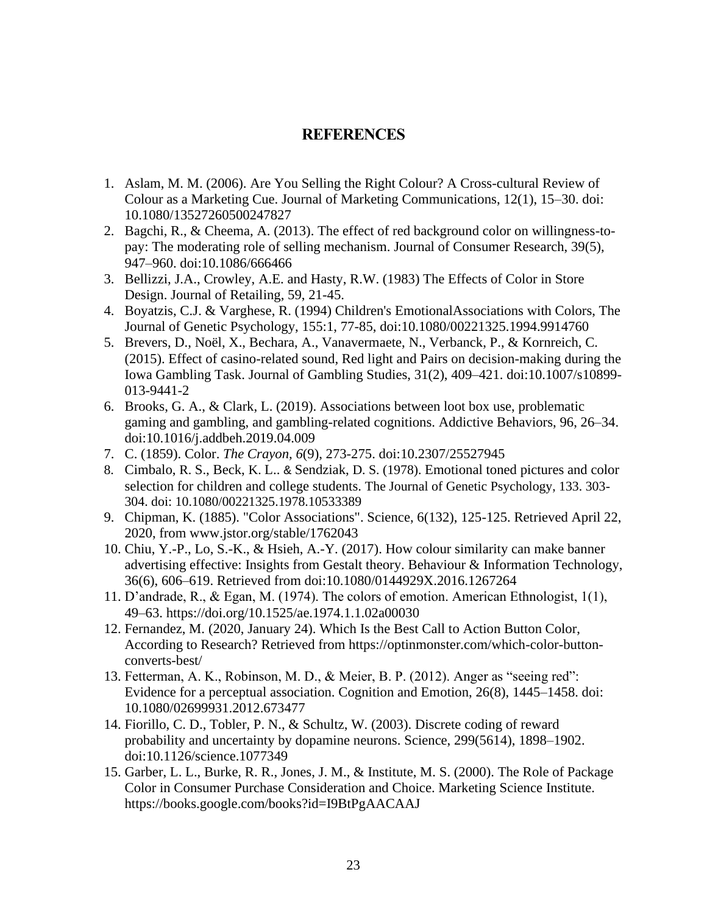## **REFERENCES**

- <span id="page-27-0"></span>1. Aslam, M. M. (2006). Are You Selling the Right Colour? A Cross-cultural Review of Colour as a Marketing Cue. Journal of Marketing Communications, 12(1), 15–30. [doi:](https://doi.org/10.1080/13527260500247827)  [10.1080/13527260500247827](https://doi.org/10.1080/13527260500247827)
- 2. Bagchi, R., & Cheema, A. (2013). The effect of red background color on willingness-topay: The moderating role of selling mechanism. Journal of Consumer Research, 39(5), 947–960. doi:10.1086/666466
- 3. Bellizzi, J.A., Crowley, A.E. and Hasty, R.W. (1983) The Effects of Color in Store Design. Journal of Retailing, 59, 21-45.
- 4. Boyatzis, C.J. & Varghese, R. (1994) Children's EmotionalAssociations with Colors, The Journal of Genetic Psychology, 155:1, 77-85, doi:10.1080/00221325.1994.9914760
- 5. Brevers, D., Noël, X., Bechara, A., Vanavermaete, N., Verbanck, P., & Kornreich, C. (2015). Effect of casino-related sound, Red light and Pairs on decision-making during the Iowa Gambling Task. Journal of Gambling Studies, 31(2), 409–421. doi:10.1007/s10899- 013-9441-2
- 6. Brooks, G. A., & Clark, L. (2019). Associations between loot box use, problematic gaming and gambling, and gambling-related cognitions. Addictive Behaviors, 96, 26–34. doi:10.1016/j.addbeh.2019.04.009
- 7. C. (1859). Color. *The Crayon, 6*(9), 273-275. doi:10.2307/25527945
- 8. Cimbalo, R. S., Beck, K. L.. & Sendziak, D. S. (1978). Emotional toned pictures and color selection for children and college students. The Journal of Genetic Psychology, 133. 303- 304. doi: 10.1080/00221325.1978.10533389
- 9. Chipman, K. (1885). "Color Associations". Science, 6(132), 125-125. Retrieved April 22, 2020, from www.jstor.org/stable/1762043
- 10. Chiu, Y.-P., Lo, S.-K., & Hsieh, A.-Y. (2017). How colour similarity can make banner advertising effective: Insights from Gestalt theory. Behaviour & Information Technology, 36(6), 606–619. Retrieved from doi:10.1080/0144929X.2016.1267264
- 11. D'andrade, R., & Egan, M. (1974). The colors of emotion. American Ethnologist, 1(1), 49–63.<https://doi.org/10.1525/ae.1974.1.1.02a00030>
- 12. Fernandez, M. (2020, January 24). Which Is the Best Call to Action Button Color, According to Research? Retrieved from https://optinmonster.com/which-color-buttonconverts-best/
- 13. Fetterman, A. K., Robinson, M. D., & Meier, B. P. (2012). Anger as "seeing red": Evidence for a perceptual association. Cognition and Emotion, 26(8), 1445–1458. doi: 10.1080/02699931.2012.673477
- 14. Fiorillo, C. D., Tobler, P. N., & Schultz, W. (2003). Discrete coding of reward probability and uncertainty by dopamine neurons. Science, 299(5614), 1898–1902. doi:10.1126/science.1077349
- 15. Garber, L. L., Burke, R. R., Jones, J. M., & Institute, M. S. (2000). The Role of Package Color in Consumer Purchase Consideration and Choice. Marketing Science Institute. <https://books.google.com/books?id=I9BtPgAACAAJ>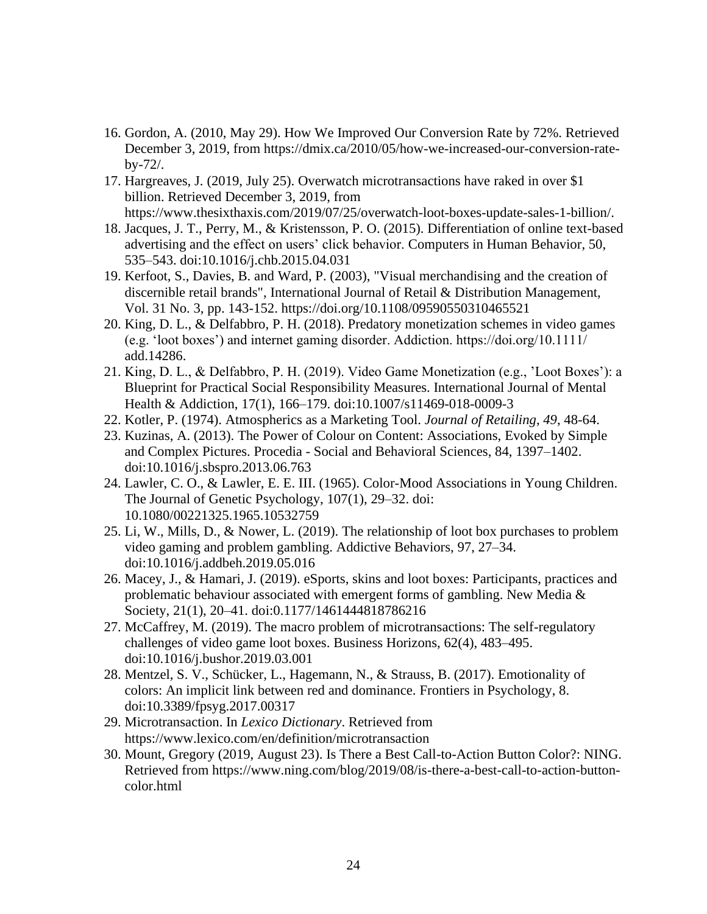- 16. Gordon, A. (2010, May 29). How We Improved Our Conversion Rate by 72%. Retrieved December 3, 2019, from https://dmix.ca/2010/05/how-we-increased-our-conversion-rateby-72/.
- 17. Hargreaves, J. (2019, July 25). Overwatch microtransactions have raked in over \$1 billion. Retrieved December 3, 2019, from https://www.thesixthaxis.com/2019/07/25/overwatch-loot-boxes-update-sales-1-billion/.
- 18. Jacques, J. T., Perry, M., & Kristensson, P. O. (2015). Differentiation of online text-based advertising and the effect on users' click behavior. Computers in Human Behavior, 50, 535–543. doi:10.1016/j.chb.2015.04.031
- 19. [Kerfoot, S.,](https://www.emerald.com/insight/search?q=Shona%20Kerfoot) [Davies, B.](https://www.emerald.com/insight/search?q=Barry%20Davies) and [Ward, P.](https://www.emerald.com/insight/search?q=Philippa%20Ward) (2003), "Visual merchandising and the creation of discernible retail brands", [International Journal of Retail & Distribution Management,](https://www.emerald.com/insight/publication/issn/0959-0552) Vol. 31 No. 3, pp. 143-152.<https://doi.org/10.1108/09590550310465521>
- 20. King, D. L., & Delfabbro, P. H. (2018). Predatory monetization schemes in video games (e.g. 'loot boxes') and internet gaming disorder. Addiction. https://doi.org/10.1111/ add.14286.
- 21. King, D. L., & Delfabbro, P. H. (2019). Video Game Monetization (e.g., 'Loot Boxes'): a Blueprint for Practical Social Responsibility Measures. International Journal of Mental Health & Addiction, 17(1), 166–179. doi:10.1007/s11469-018-0009-3
- 22. Kotler, P. (1974). Atmospherics as a Marketing Tool. *Journal of Retailing*, *49*, 48-64.
- 23. Kuzinas, A. (2013). The Power of Colour on Content: Associations, Evoked by Simple and Complex Pictures. Procedia - Social and Behavioral Sciences, 84, 1397–1402. doi:10.1016/j.sbspro.2013.06.763
- 24. Lawler, C. O., & Lawler, E. E. III. (1965). Color-Mood Associations in Young Children. The Journal of Genetic Psychology, 107(1), 29–32. [doi:](https://doi.org/10.1080/00221325.1965.10532759)  [10.1080/00221325.1965.10532759](https://doi.org/10.1080/00221325.1965.10532759)
- 25. Li, W., Mills, D., & Nower, L. (2019). The relationship of loot box purchases to problem video gaming and problem gambling. Addictive Behaviors, 97, 27–34. doi:10.1016/j.addbeh.2019.05.016
- 26. Macey, J., & Hamari, J. (2019). eSports, skins and loot boxes: Participants, practices and problematic behaviour associated with emergent forms of gambling. New Media  $\&$ Society, 21(1), 20–41. doi:0.1177/1461444818786216
- 27. McCaffrey, M. (2019). The macro problem of microtransactions: The self-regulatory challenges of video game loot boxes. Business Horizons, 62(4), 483–495. doi:10.1016/j.bushor.2019.03.001
- 28. Mentzel, S. V., Schücker, L., Hagemann, N., & Strauss, B. (2017). Emotionality of colors: An implicit link between red and dominance. Frontiers in Psychology, 8. doi:10.3389/fpsyg.2017.00317
- 29. Microtransaction. In *Lexico Dictionary*. Retrieved from https://www.lexico.com/en/definition/microtransaction
- 30. Mount, Gregory (2019, August 23). Is There a Best Call-to-Action Button Color?: NING. Retrieved from https://www.ning.com/blog/2019/08/is-there-a-best-call-to-action-buttoncolor.html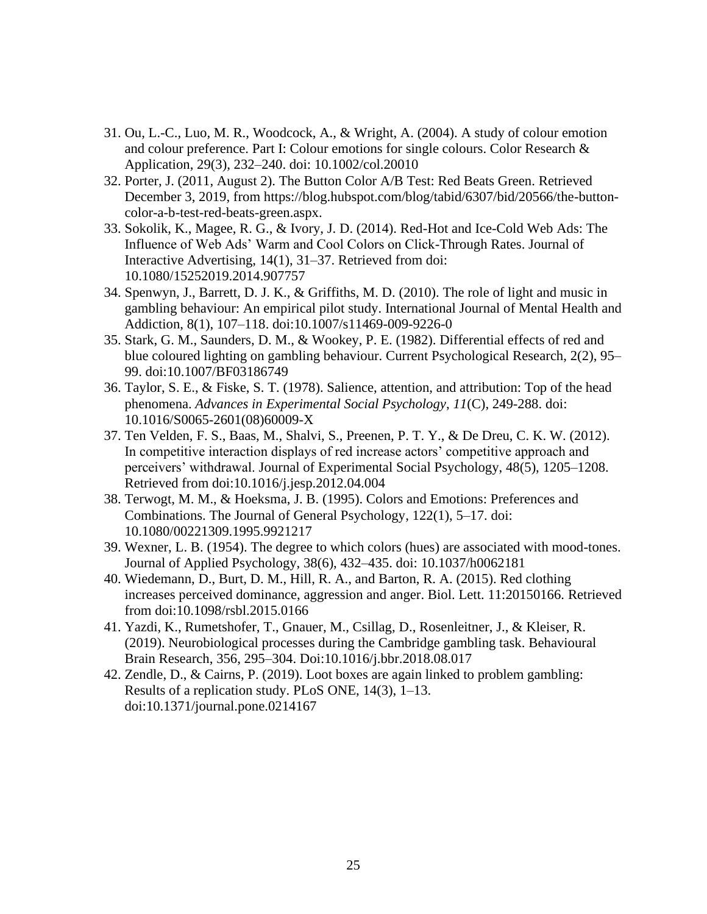- 31. Ou, L.-C., Luo, M. R., Woodcock, A., & Wright, A. (2004). A study of colour emotion and colour preference. Part I: Colour emotions for single colours. Color Research & Application, 29(3), 232–240. doi: 10.1002/col.20010
- 32. Porter, J. (2011, August 2). The Button Color A/B Test: Red Beats Green. Retrieved December 3, 2019, from https://blog.hubspot.com/blog/tabid/6307/bid/20566/the-buttoncolor-a-b-test-red-beats-green.aspx.
- 33. Sokolik, K., Magee, R. G., & Ivory, J. D. (2014). Red-Hot and Ice-Cold Web Ads: The Influence of Web Ads' Warm and Cool Colors on Click-Through Rates. Journal of Interactive Advertising, 14(1), 31–37. Retrieved from doi: 10.1080/15252019.2014.907757
- 34. Spenwyn, J., Barrett, D. J. K., & Griffiths, M. D. (2010). The role of light and music in gambling behaviour: An empirical pilot study. International Journal of Mental Health and Addiction, 8(1), 107–118. doi:10.1007/s11469-009-9226-0
- 35. Stark, G. M., Saunders, D. M., & Wookey, P. E. (1982). Differential effects of red and blue coloured lighting on gambling behaviour. Current Psychological Research, 2(2), 95– 99. doi:10.1007/BF03186749
- 36. Taylor, S. E., & Fiske, S. T. (1978). Salience, attention, and attribution: Top of the head phenomena. *Advances in Experimental Social Psychology*, *11*(C), 249-288. doi: 10.1016/S0065-2601(08)60009-X
- 37. Ten Velden, F. S., Baas, M., Shalvi, S., Preenen, P. T. Y., & De Dreu, C. K. W. (2012). In competitive interaction displays of red increase actors' competitive approach and perceivers' withdrawal. Journal of Experimental Social Psychology, 48(5), 1205–1208. Retrieved from doi:10.1016/j.jesp.2012.04.004
- 38. Terwogt, M. M., & Hoeksma, J. B. (1995). Colors and Emotions: Preferences and Combinations. The Journal of General Psychology, 122(1), 5–17. doi: 10.1080/00221309.1995.9921217
- 39. Wexner, L. B. (1954). The degree to which colors (hues) are associated with mood-tones. Journal of Applied Psychology, 38(6), 432–435. doi: 10.1037/h0062181
- 40. Wiedemann, D., Burt, D. M., Hill, R. A., and Barton, R. A. (2015). Red clothing increases perceived dominance, aggression and anger. Biol. Lett. 11:20150166. Retrieved from doi:10.1098/rsbl.2015.0166
- 41. Yazdi, K., Rumetshofer, T., Gnauer, M., Csillag, D., Rosenleitner, J., & Kleiser, R. (2019). Neurobiological processes during the Cambridge gambling task. Behavioural Brain Research, 356, 295–304. Doi:10.1016/j.bbr.2018.08.017
- 42. Zendle, D., & Cairns, P. (2019). Loot boxes are again linked to problem gambling: Results of a replication study. PLoS ONE, 14(3), 1–13. doi:10.1371/journal.pone.0214167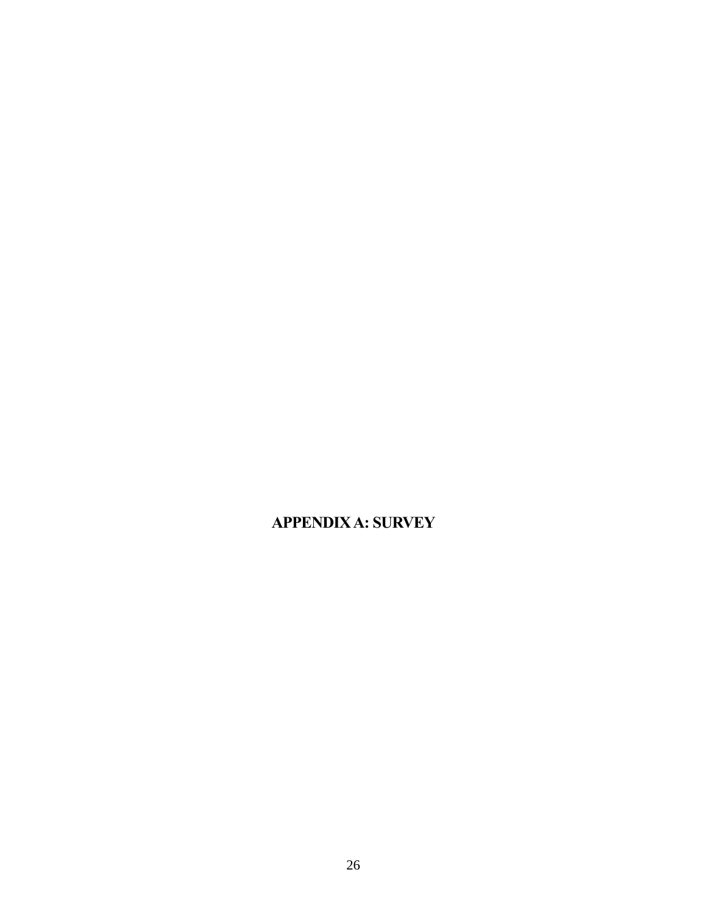<span id="page-30-0"></span>**APPENDIX A: SURVEY**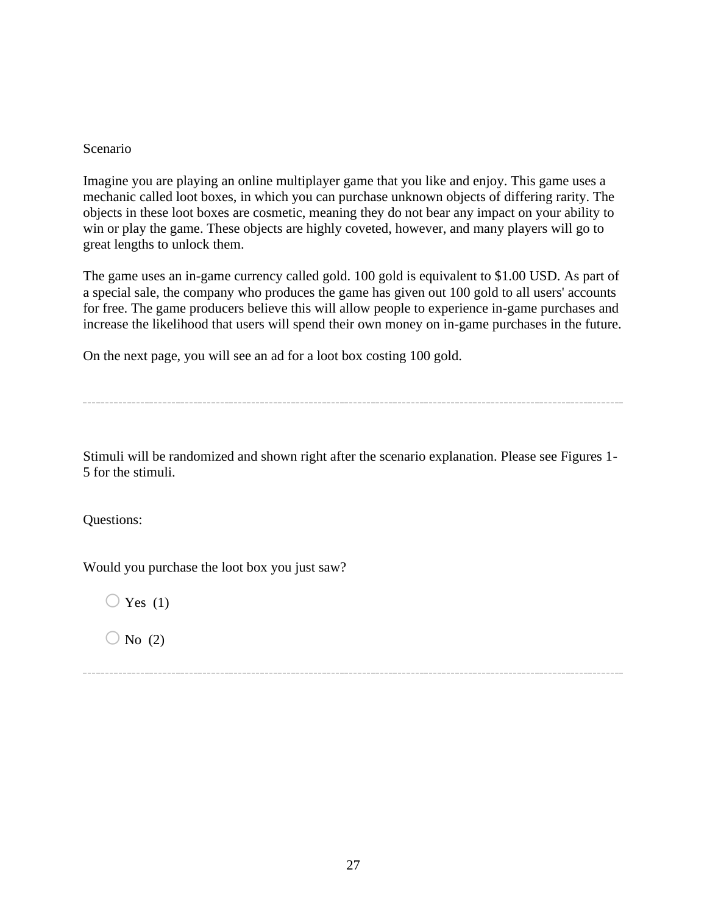#### Scenario

Imagine you are playing an online multiplayer game that you like and enjoy. This game uses a mechanic called loot boxes, in which you can purchase unknown objects of differing rarity. The objects in these loot boxes are cosmetic, meaning they do not bear any impact on your ability to win or play the game. These objects are highly coveted, however, and many players will go to great lengths to unlock them.

The game uses an in-game currency called gold. 100 gold is equivalent to \$1.00 USD. As part of a special sale, the company who produces the game has given out 100 gold to all users' accounts for free. The game producers believe this will allow people to experience in-game purchases and increase the likelihood that users will spend their own money on in-game purchases in the future.

On the next page, you will see an ad for a loot box costing 100 gold.

Stimuli will be randomized and shown right after the scenario explanation. Please see Figures 1- 5 for the stimuli.

Questions:

Would you purchase the loot box you just saw?

 $\bigcirc$  Yes (1)

 $\bigcirc$  No (2)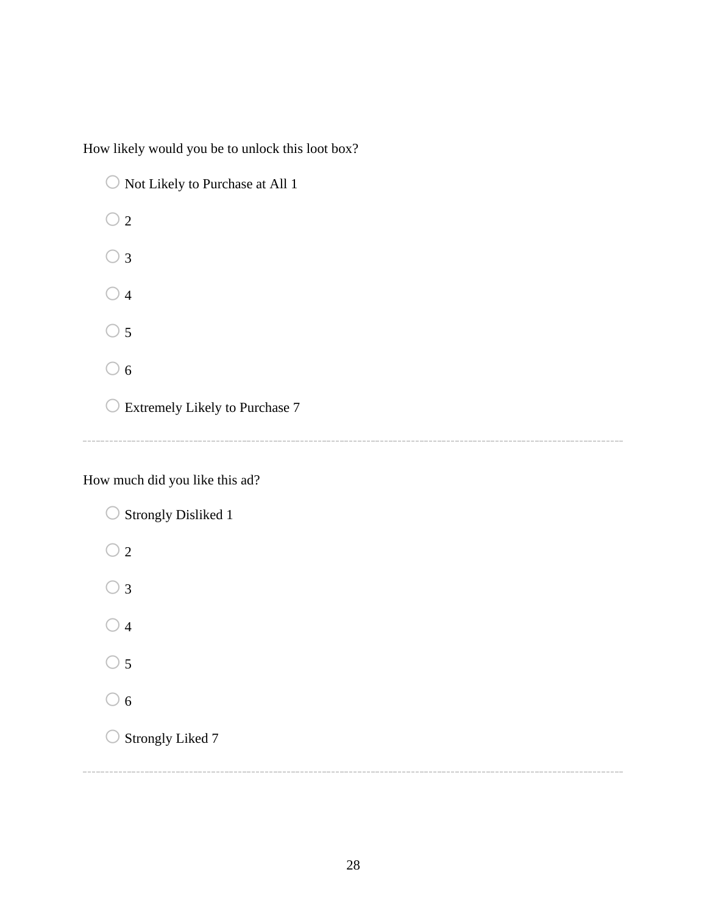How likely would you be to unlock this loot box?

 $\bigcirc$  Not Likely to Purchase at All 1  $\bigcirc$  2  $\bigcirc$  3  $\bigcirc$  4  $\bigcirc$  5  $\bigcirc$  6  $\bigcirc$  Extremely Likely to Purchase 7

How much did you like this ad?

 $\bigcirc$  Strongly Disliked 1  $\bigcirc$  2  $\bigcirc$  3  $\bigcirc$  4  $\bigcirc$  5  $\bigcirc$  6  $\bigcirc$  Strongly Liked 7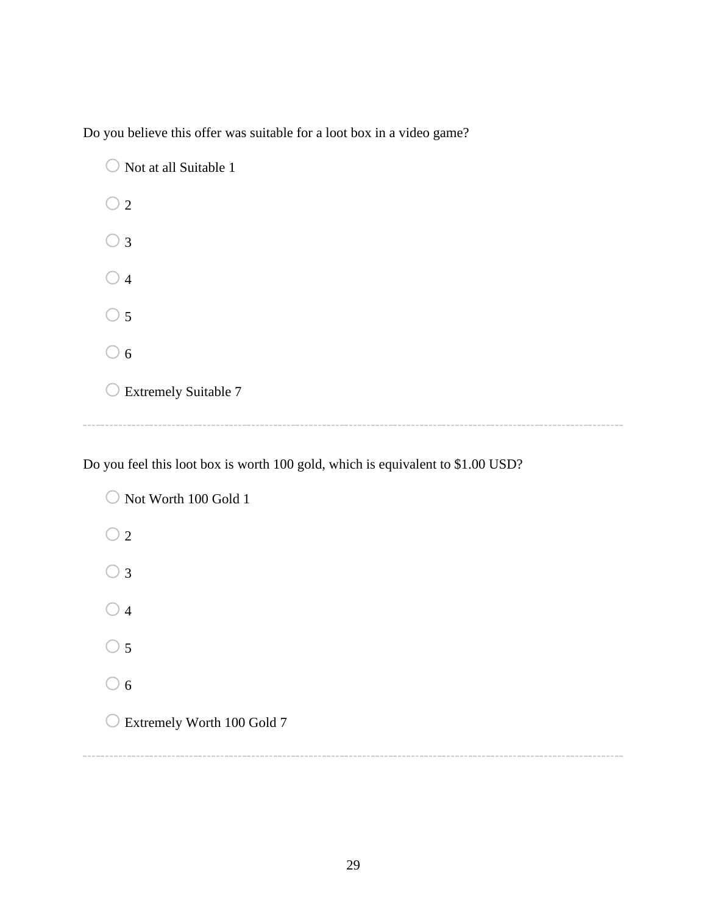Do you believe this offer was suitable for a loot box in a video game?

 $\bigcirc$  Not at all Suitable 1  $\bigcirc$  2  $\bigcirc$  3  $\bigcirc$  4  $\bigcirc$  5  $\bigcirc$  6  $\bigcirc$  Extremely Suitable 7

Do you feel this loot box is worth 100 gold, which is equivalent to \$1.00 USD?

 $\bigcirc$  Not Worth 100 Gold 1  $\bigcirc$  2  $\bigcirc$  3  $\bigcirc$  4  $\bigcirc$  5  $\bigcirc$  6 o Extremely Worth 100 Gold 7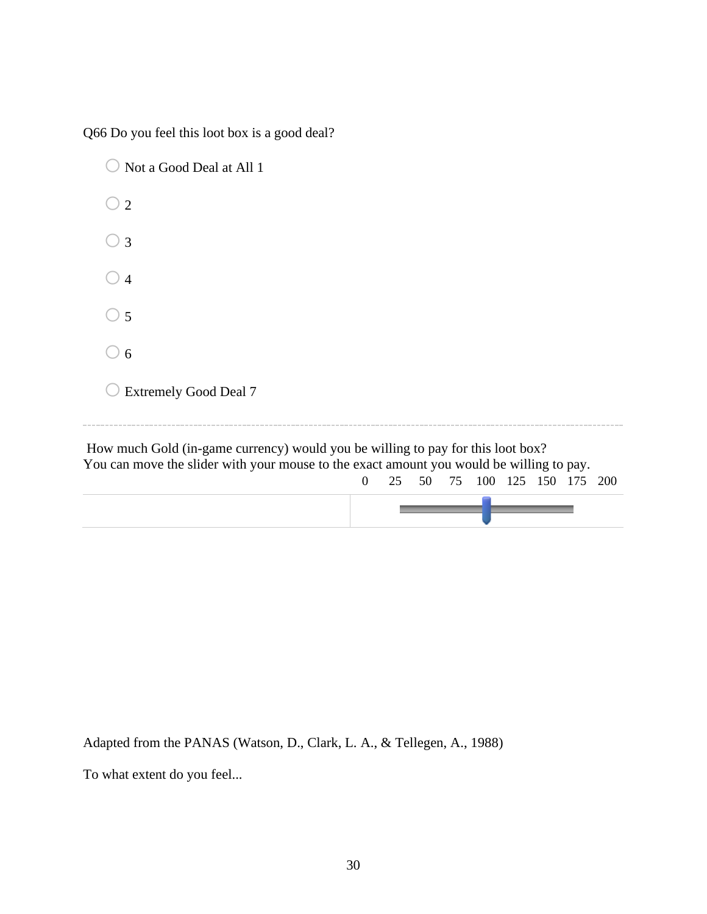Q66 Do you feel this loot box is a good deal?

| Not a Good Deal at All 1                                                                                                                                                    |                |    |    |    |  |                     |  |
|-----------------------------------------------------------------------------------------------------------------------------------------------------------------------------|----------------|----|----|----|--|---------------------|--|
| $\overline{2}$                                                                                                                                                              |                |    |    |    |  |                     |  |
| $\overline{3}$                                                                                                                                                              |                |    |    |    |  |                     |  |
| $\overline{4}$                                                                                                                                                              |                |    |    |    |  |                     |  |
| 5                                                                                                                                                                           |                |    |    |    |  |                     |  |
| 6                                                                                                                                                                           |                |    |    |    |  |                     |  |
| <b>Extremely Good Deal 7</b>                                                                                                                                                |                |    |    |    |  |                     |  |
| How much Gold (in-game currency) would you be willing to pay for this loot box?<br>You can move the slider with your mouse to the exact amount you would be willing to pay. | $\overline{0}$ | 25 | 50 | 75 |  | 100 125 150 175 200 |  |
|                                                                                                                                                                             |                |    |    |    |  |                     |  |

Adapted from the PANAS (Watson, D., Clark, L. A., & Tellegen, A., 1988)

To what extent do you feel...

 $\overline{\phantom{a}}$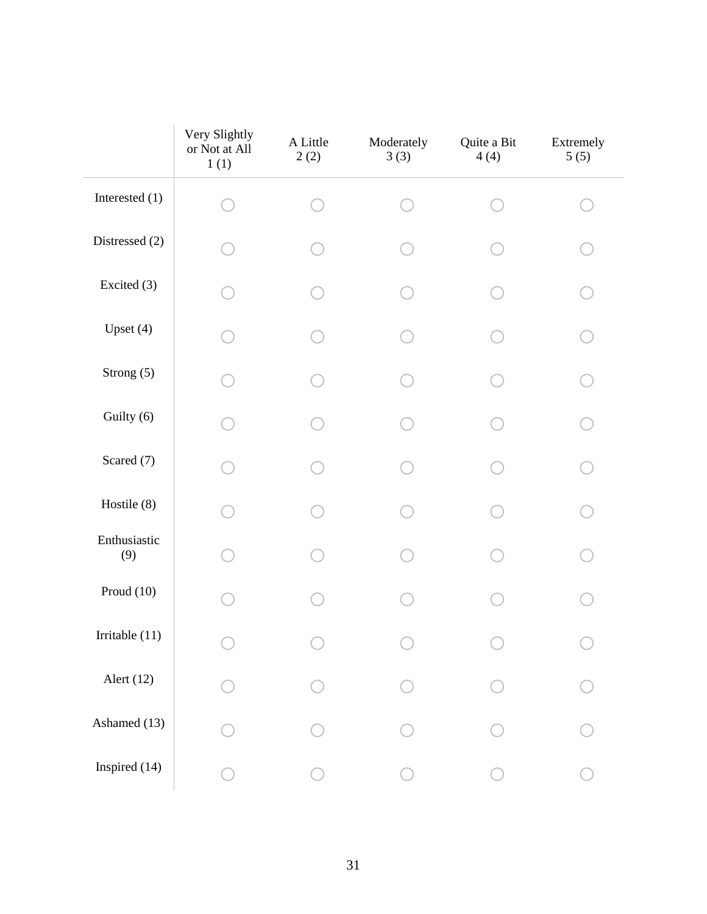|                     | Very Slightly<br>or Not at All<br>1(1) | A Little<br>2(2) | Moderately<br>3(3) | Quite a Bit<br>4(4) | Extremely<br>5(5) |
|---------------------|----------------------------------------|------------------|--------------------|---------------------|-------------------|
| Interested (1)      |                                        |                  |                    |                     |                   |
| Distressed (2)      |                                        |                  |                    |                     |                   |
| Excited (3)         |                                        |                  |                    |                     |                   |
| Upset $(4)$         |                                        |                  |                    |                     |                   |
| Strong (5)          |                                        |                  |                    |                     |                   |
| Guilty (6)          |                                        |                  |                    |                     |                   |
| Scared (7)          |                                        |                  |                    |                     |                   |
| Hostile (8)         |                                        |                  |                    |                     |                   |
| Enthusiastic<br>(9) |                                        |                  |                    |                     |                   |
| Proud $(10)$        |                                        |                  |                    |                     |                   |
| Irritable (11)      |                                        |                  |                    |                     |                   |
| Alert (12)          |                                        |                  |                    |                     |                   |
| Ashamed (13)        |                                        |                  |                    |                     |                   |
| Inspired (14)       |                                        |                  |                    |                     |                   |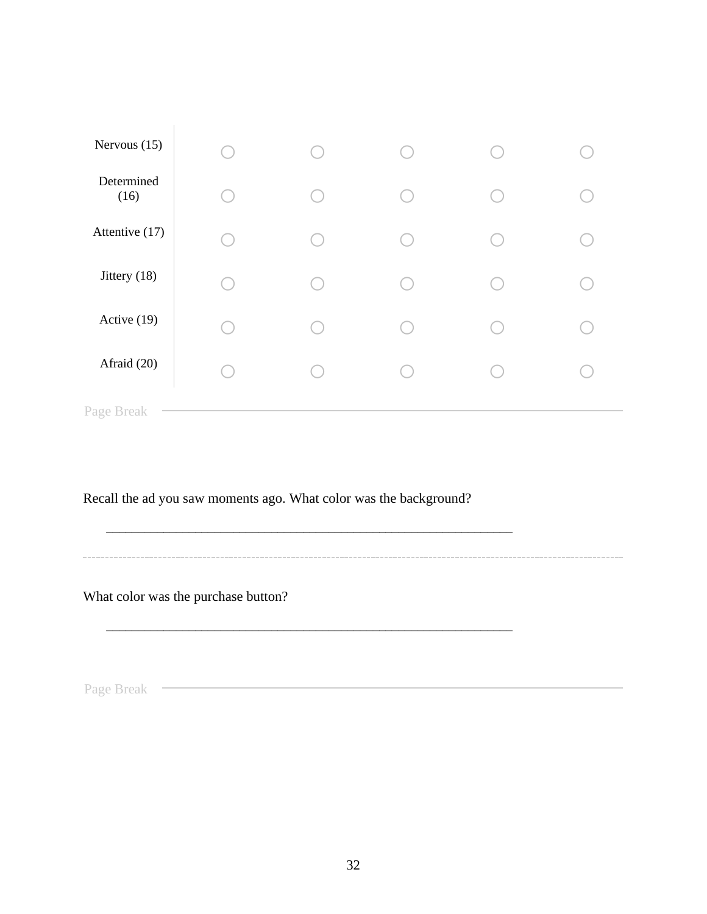| Nervous $(15)$     |  |  |  |
|--------------------|--|--|--|
| Determined<br>(16) |  |  |  |
| Attentive (17)     |  |  |  |
| Jittery (18)       |  |  |  |
| Active (19)        |  |  |  |
| Afraid (20)        |  |  |  |
| Page Break         |  |  |  |

Recall the ad you saw moments ago. What color was the background?

\_\_\_\_\_\_\_\_\_\_\_\_\_\_\_\_\_\_\_\_\_\_\_\_\_\_\_\_\_\_\_\_\_\_\_\_\_\_\_\_\_\_\_\_\_\_\_\_\_\_\_\_\_\_\_\_\_\_\_\_\_\_\_\_

\_\_\_\_\_\_\_\_\_\_\_\_\_\_\_\_\_\_\_\_\_\_\_\_\_\_\_\_\_\_\_\_\_\_\_\_\_\_\_\_\_\_\_\_\_\_\_\_\_\_\_\_\_\_\_\_\_\_\_\_\_\_\_\_

What color was the purchase button?

 $\begin{array}{c} \hline \end{array}$ 

Page Break **Page Break Page Break Page Break Page Break Page Break Page Break Page 19**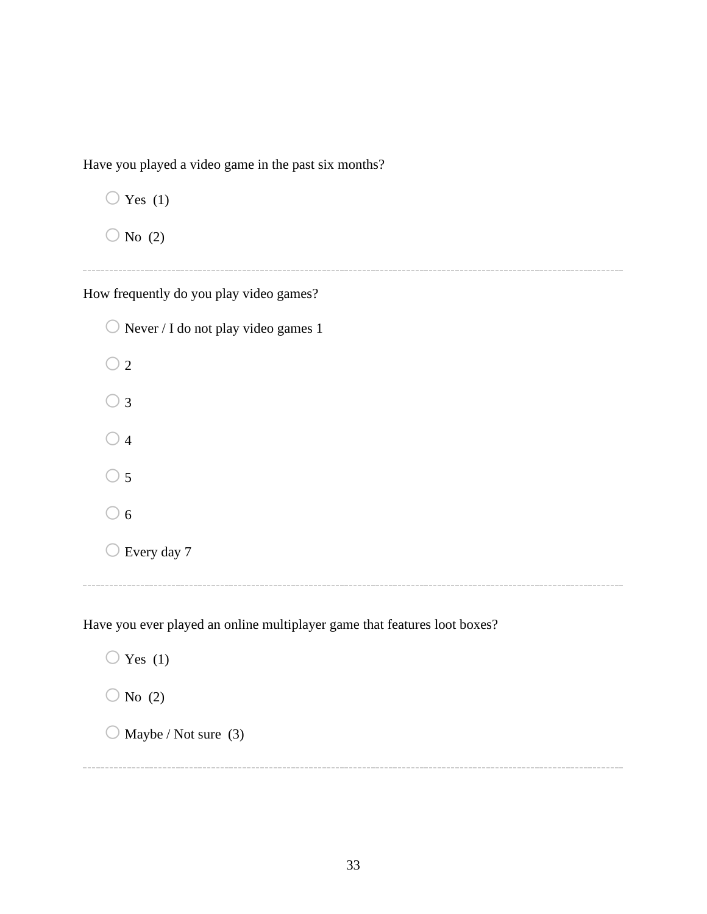Have you played a video game in the past six months?

 $\bigcirc$  Yes (1)

 $\bigcirc$  No (2)

How frequently do you play video games?

 $\bigcirc$  Never / I do not play video games 1  $\bigcirc$  2  $\bigcirc$  3  $\bigcirc$  4  $\bigcirc$  5  $\bigcirc$  6  $\bigcirc$  Every day 7

Have you ever played an online multiplayer game that features loot boxes?

 $\bigcirc$  Yes (1)  $\bigcirc$  No (2)  $\bigcirc$  Maybe / Not sure (3)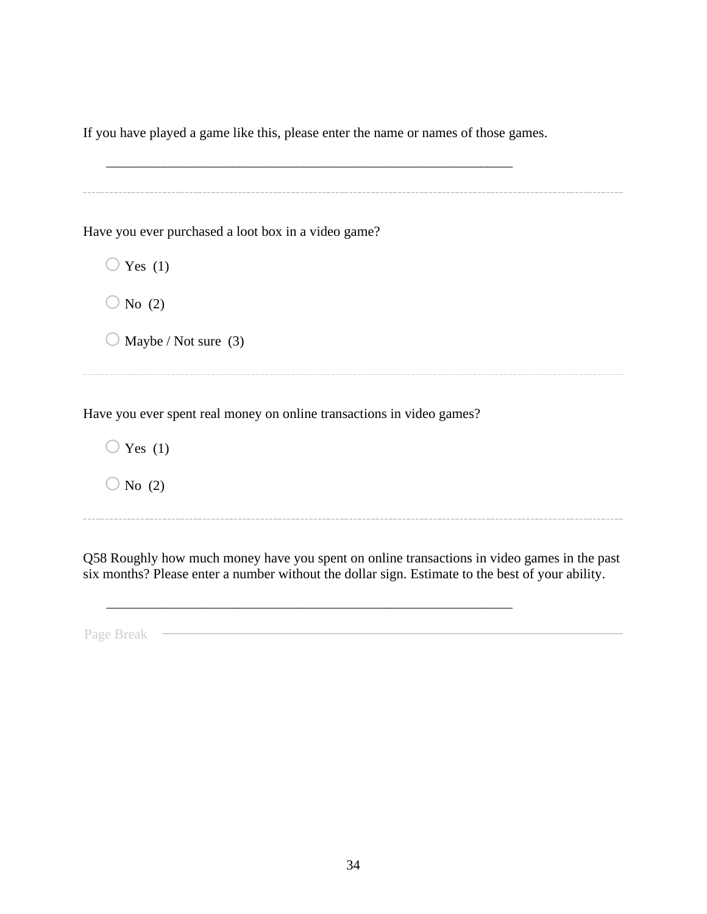If you have played a game like this, please enter the name or names of those games.

\_\_\_\_\_\_\_\_\_\_\_\_\_\_\_\_\_\_\_\_\_\_\_\_\_\_\_\_\_\_\_\_\_\_\_\_\_\_\_\_\_\_\_\_\_\_\_\_\_\_\_\_\_\_\_\_\_\_\_\_\_\_\_\_

Have you ever purchased a loot box in a video game?  $\bigcirc$  Yes (1)  $\bigcirc$  No (2)  $\bigcirc$  Maybe / Not sure (3) Have you ever spent real money on online transactions in video games?  $\bigcirc$  Yes (1)  $\bigcirc$  No (2)

Q58 Roughly how much money have you spent on online transactions in video games in the past six months? Please enter a number without the dollar sign. Estimate to the best of your ability.

\_\_\_\_\_\_\_\_\_\_\_\_\_\_\_\_\_\_\_\_\_\_\_\_\_\_\_\_\_\_\_\_\_\_\_\_\_\_\_\_\_\_\_\_\_\_\_\_\_\_\_\_\_\_\_\_\_\_\_\_\_\_\_\_

Page Break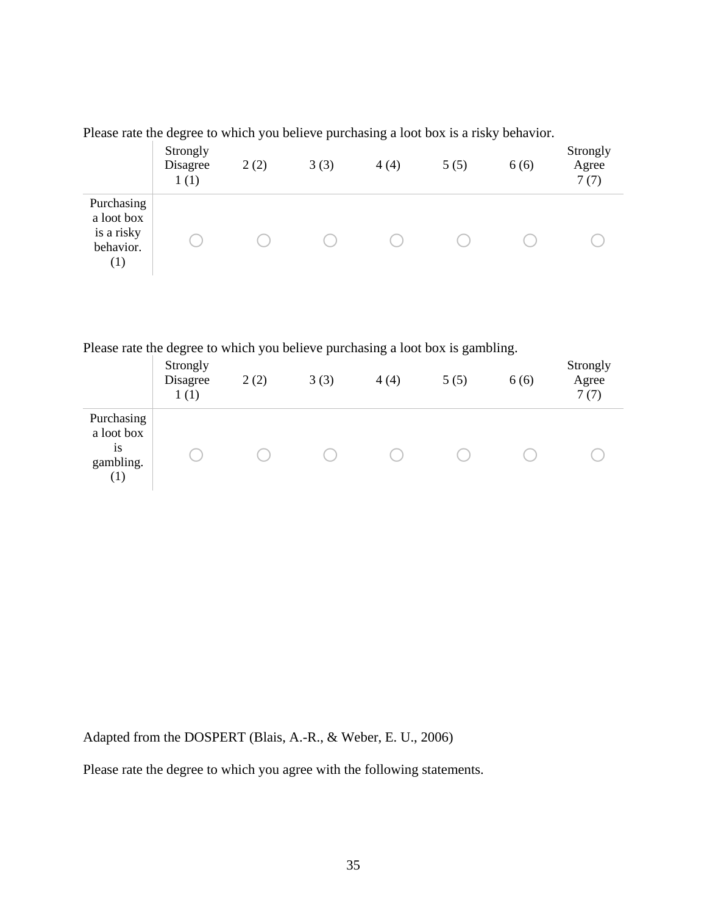| Please rate the degree to which you believe purchasing a loot box is a risky behavior. |  |  |  |  |
|----------------------------------------------------------------------------------------|--|--|--|--|
|                                                                                        |  |  |  |  |

|                                                                         | Strongly<br>Disagree<br>1(1) | 2(2) | 3(3) | 4(4) | 5(5) | 6(6) | Strongly<br>Agree<br>7(7) |
|-------------------------------------------------------------------------|------------------------------|------|------|------|------|------|---------------------------|
| Purchasing<br>a loot box<br>is a risky<br>behavior.<br>$\left(1\right)$ |                              |      |      |      |      |      |                           |

Please rate the degree to which you believe purchasing a loot box is gambling.

|                                                           | Strongly<br>Disagree<br>1(1) | 2(2) | 3(3) | 4(4) | 5(5) | 6(6) | Strongly<br>Agree<br>7(7) |
|-----------------------------------------------------------|------------------------------|------|------|------|------|------|---------------------------|
| Purchasing<br>a loot box<br><b>1S</b><br>gambling.<br>(1) |                              |      |      |      |      |      |                           |

Adapted from the DOSPERT (Blais, A.-R., & Weber, E. U., 2006)

Please rate the degree to which you agree with the following statements.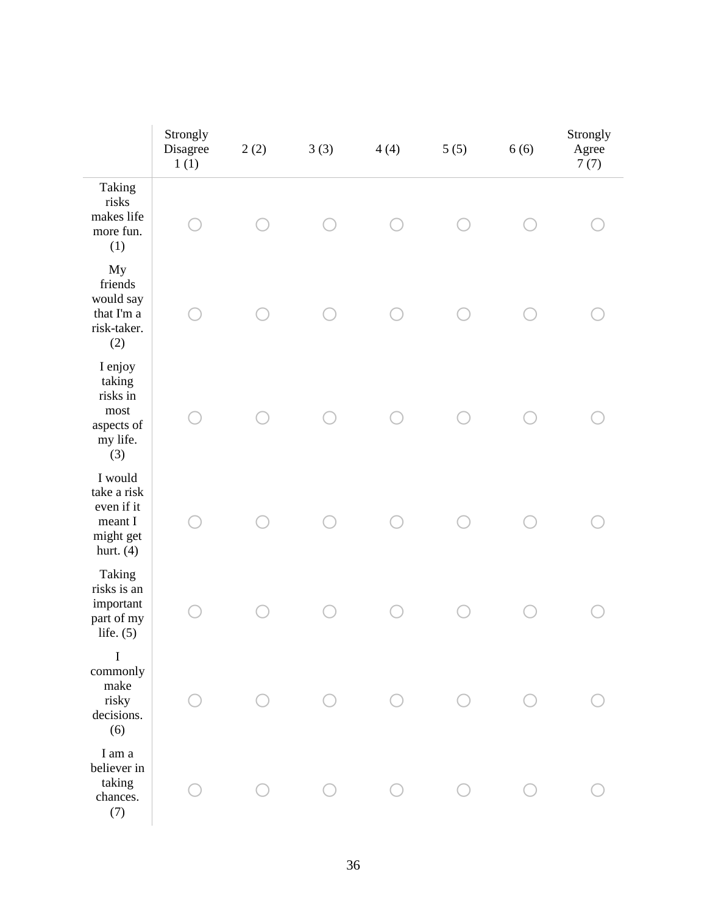|                                                                                | Strongly<br>Disagree<br>1(1) | 2(2) | 3(3) | 4(4) | 5(5) | 6(6) | Strongly<br>Agree<br>7(7) |
|--------------------------------------------------------------------------------|------------------------------|------|------|------|------|------|---------------------------|
| Taking<br>risks<br>makes life<br>more fun.<br>(1)                              |                              |      |      |      |      |      |                           |
| My<br>friends<br>would say<br>that I'm a<br>risk-taker.<br>(2)                 |                              |      |      |      |      |      |                           |
| I enjoy<br>taking<br>risks in<br>${\rm most}$<br>aspects of<br>my life.<br>(3) |                              |      |      |      |      |      |                           |
| I would<br>take a risk<br>even if it<br>meant I<br>might get<br>hurt. $(4)$    |                              |      |      |      |      |      |                           |
| Taking<br>risks is an<br>important<br>part of my<br>life. $(5)$                |                              |      |      |      |      |      |                           |
| I<br>commonly<br>make<br>risky<br>decisions.<br>(6)                            |                              |      |      |      |      |      |                           |
| I am a<br>believer in<br>taking<br>chances.<br>(7)                             |                              |      |      |      |      |      |                           |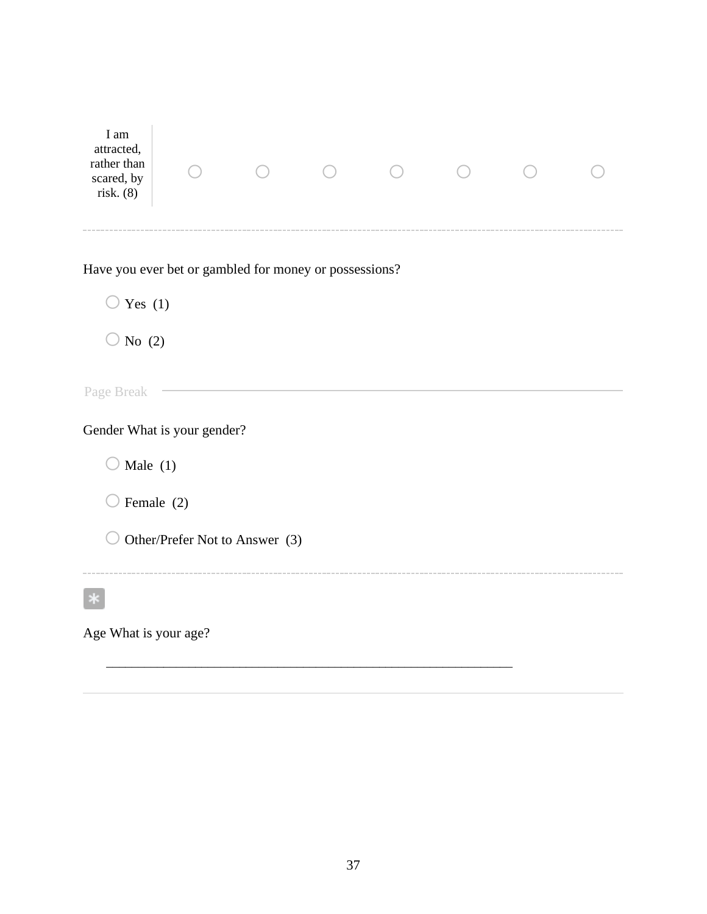| I am<br>attracted,<br>rather than<br>scared, by<br>risk. (8) |                                |  |  |  |  |  |  |  |  |
|--------------------------------------------------------------|--------------------------------|--|--|--|--|--|--|--|--|
| Have you ever bet or gambled for money or possessions?       |                                |  |  |  |  |  |  |  |  |
| $\bigcirc$ Yes (1)<br>No $(2)$                               |                                |  |  |  |  |  |  |  |  |
| Page Break                                                   |                                |  |  |  |  |  |  |  |  |
| Gender What is your gender?                                  |                                |  |  |  |  |  |  |  |  |
| Male $(1)$                                                   |                                |  |  |  |  |  |  |  |  |
| Female (2)                                                   |                                |  |  |  |  |  |  |  |  |
|                                                              | Other/Prefer Not to Answer (3) |  |  |  |  |  |  |  |  |
|                                                              |                                |  |  |  |  |  |  |  |  |
| Age What is your age?                                        |                                |  |  |  |  |  |  |  |  |

\_\_\_\_\_\_\_\_\_\_\_\_\_\_\_\_\_\_\_\_\_\_\_\_\_\_\_\_\_\_\_\_\_\_\_\_\_\_\_\_\_\_\_\_\_\_\_\_\_\_\_\_\_\_\_\_\_\_\_\_\_\_\_\_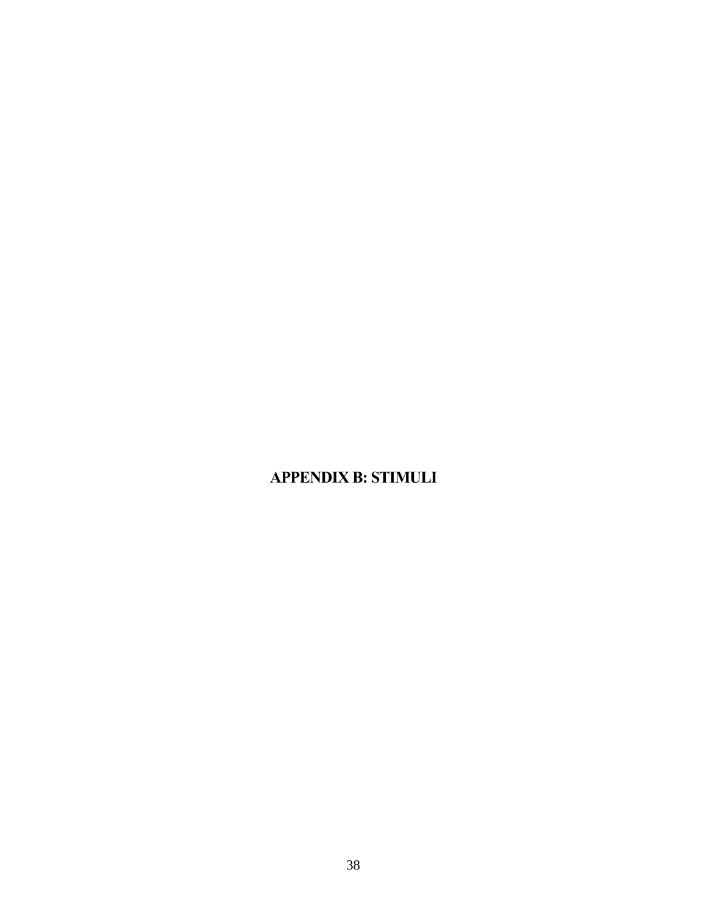# <span id="page-42-0"></span>**APPENDIX B: STIMULI**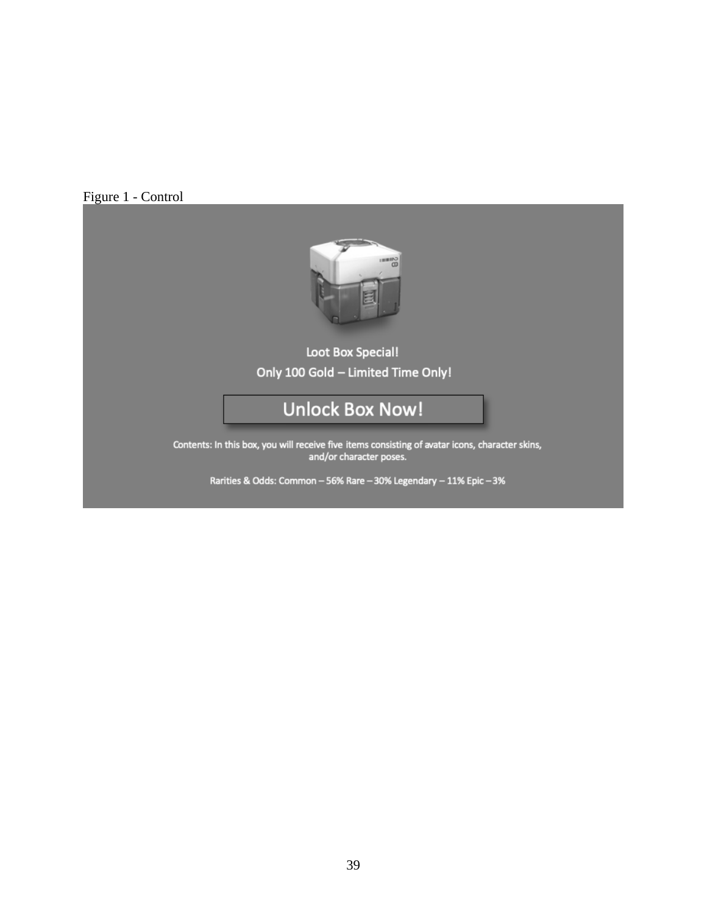### Figure 1 - Control



# **Loot Box Special!** Only 100 Gold - Limited Time Only!

# **Unlock Box Now!**

Contents: In this box, you will receive five items consisting of avatar icons, character skins,<br>and/or character poses.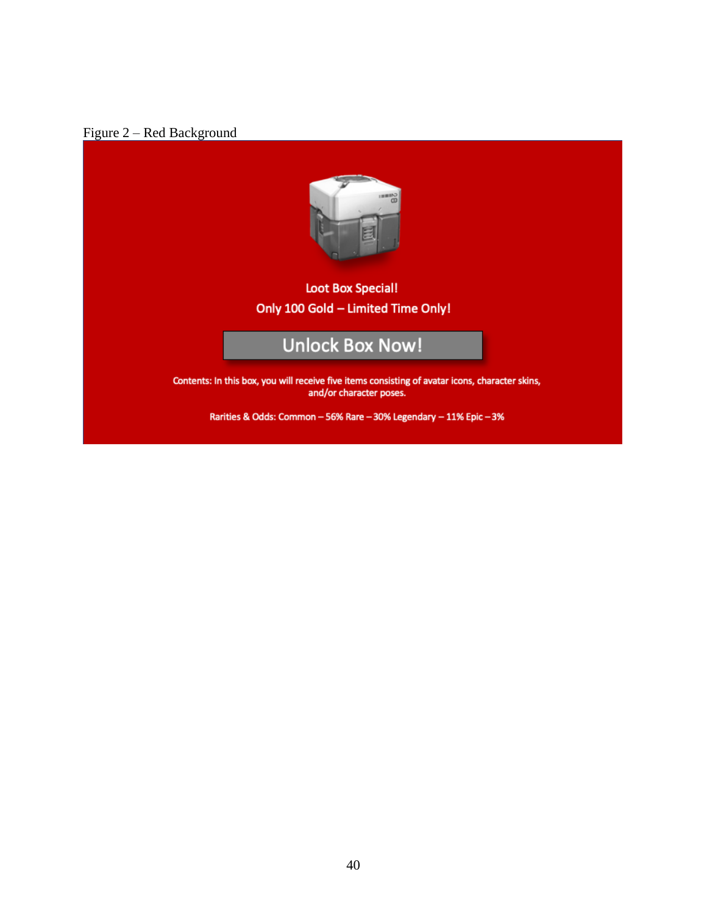



## **Loot Box Special!** Only 100 Gold - Limited Time Only!

# **Unlock Box Now!**

Contents: In this box, you will receive five items consisting of avatar icons, character skins, and/or character poses.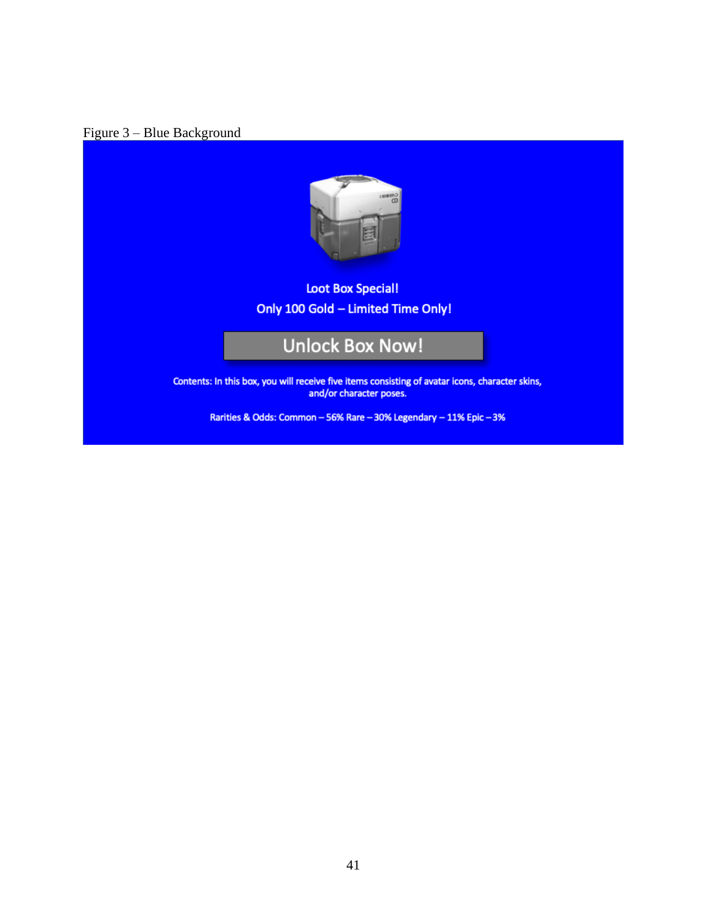## Figure 3 – Blue Background



# **Loot Box Special!** Only 100 Gold - Limited Time Only!

# **Unlock Box Now!**

Contents: In this box, you will receive five items consisting of avatar icons, character skins, and/or character poses.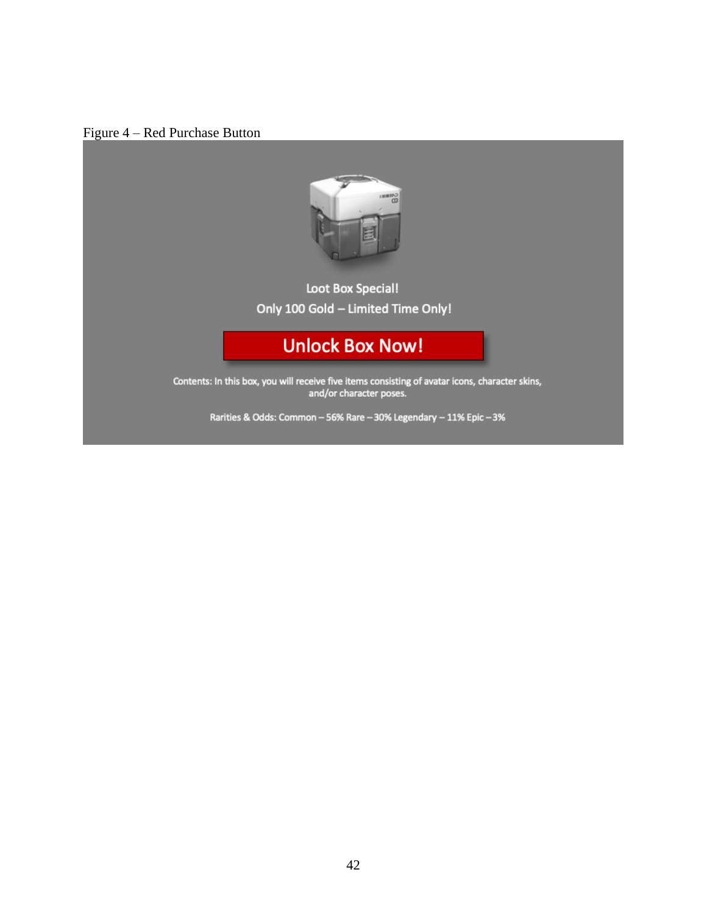



# Loot Box Special! Only 100 Gold - Limited Time Only!

# **Unlock Box Now!**

Contents: In this box, you will receive five items consisting of avatar icons, character skins,<br>and/or character poses.